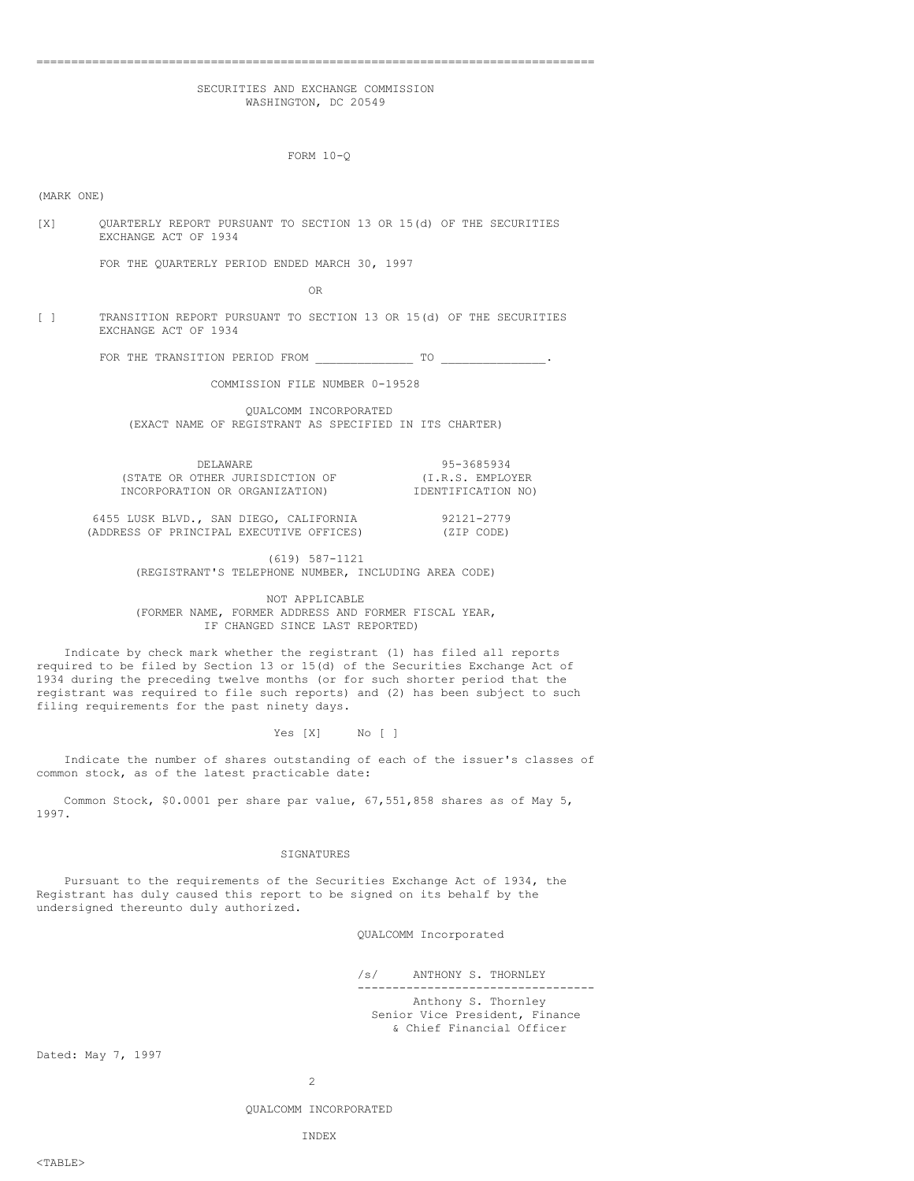# ================================================================================ SECURITIES AND EXCHANGE COMMISSION

WASHINGTON, DC 20549

FORM 10-Q

(MARK ONE)

[X] QUARTERLY REPORT PURSUANT TO SECTION 13 OR 15(d) OF THE SECURITIES EXCHANGE ACT OF 1934

FOR THE QUARTERLY PERIOD ENDED MARCH 30, 1997

OR

[ ] TRANSITION REPORT PURSUANT TO SECTION 13 OR 15(d) OF THE SECURITIES EXCHANGE ACT OF 1934

FOR THE TRANSITION PERIOD FROM \_\_\_\_\_\_\_\_\_\_\_\_\_\_ TO \_\_\_\_\_\_\_\_\_\_\_\_\_\_\_.

COMMISSION FILE NUMBER 0-19528

QUALCOMM INCORPORATED (EXACT NAME OF REGISTRANT AS SPECIFIED IN ITS CHARTER)

| DELAWARE |                                 |  |
|----------|---------------------------------|--|
|          | (STATE OR OTHER JURISDICTION OF |  |
|          | INCORPORATION OR ORGANIZATION)  |  |

(ADDRESS OF PRINCIPAL EXECUTIVE OFFICES)

IDENTIFICATION NO) 6455 LUSK BLVD., SAN DIEGO, CALIFORNIA 92121-2779<br>(ADDRESS OF PRINCIPAL EXECUTIVE OFFICES) (ZIP CODE)

DELAWARE 95-3685934 (I.R.S. EMPLOYER

(619) 587-1121 (REGISTRANT'S TELEPHONE NUMBER, INCLUDING AREA CODE)

NOT APPLICABLE (FORMER NAME, FORMER ADDRESS AND FORMER FISCAL YEAR, IF CHANGED SINCE LAST REPORTED)

Indicate by check mark whether the registrant (1) has filed all reports required to be filed by Section 13 or 15(d) of the Securities Exchange Act of 1934 during the preceding twelve months (or for such shorter period that the registrant was required to file such reports) and (2) has been subject to such filing requirements for the past ninety days.

Yes [X] No [ ]

Indicate the number of shares outstanding of each of the issuer's classes of common stock, as of the latest practicable date:

Common Stock, \$0.0001 per share par value, 67,551,858 shares as of May 5, 1997.

#### SIGNATURES

Pursuant to the requirements of the Securities Exchange Act of 1934, the Registrant has duly caused this report to be signed on its behalf by the undersigned thereunto duly authorized.

QUALCOMM Incorporated

/s/ ANTHONY S. THORNLEY ---------------------------------- Anthony S. Thornley Senior Vice President, Finance & Chief Financial Officer

Dated: May 7, 1997

QUALCOMM INCORPORATED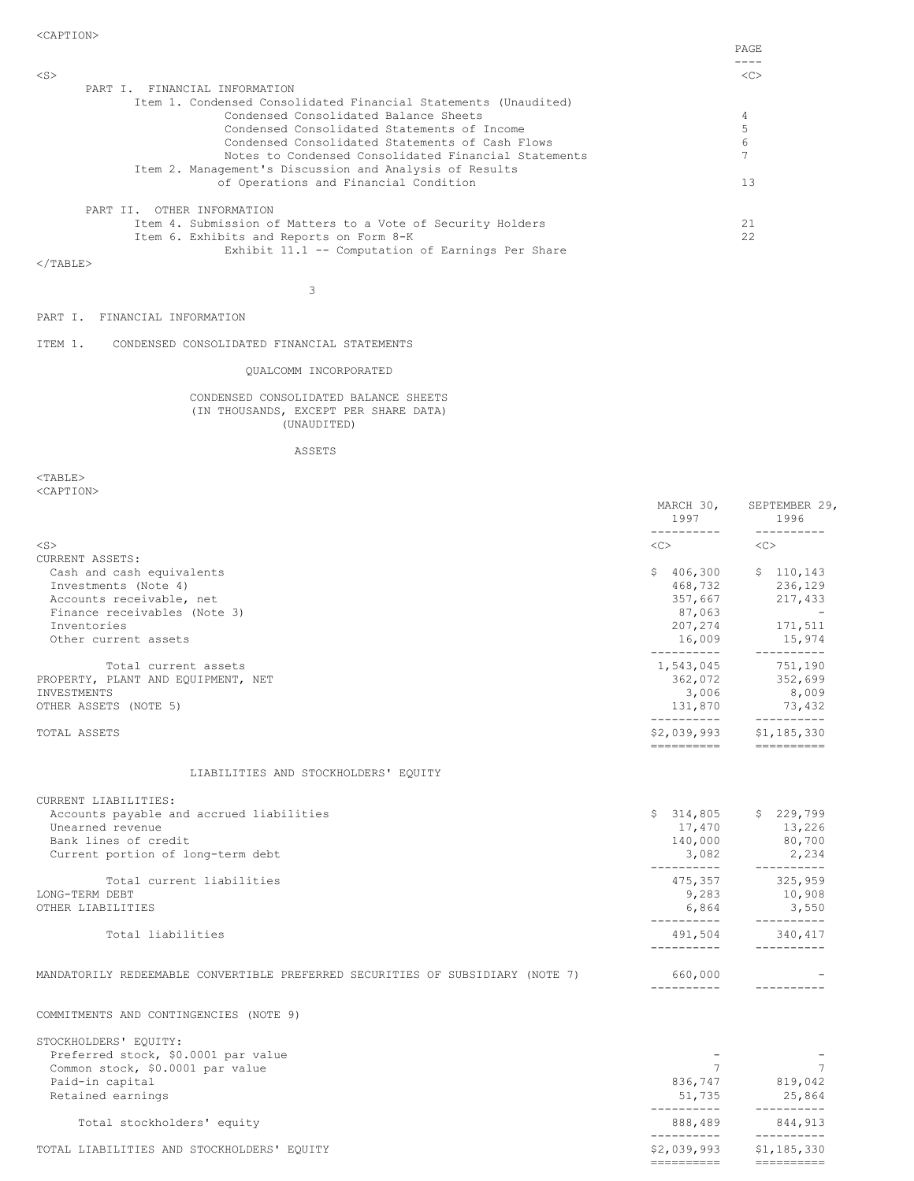========== ==========

| PART I. FINANCIAL INFORMATION                                   |      |
|-----------------------------------------------------------------|------|
| Item 1. Condensed Consolidated Financial Statements (Unaudited) |      |
| Condensed Consolidated Balance Sheets                           |      |
| Condensed Consolidated Statements of Income                     |      |
| Condensed Consolidated Statements of Cash Flows                 | 6    |
| Notes to Condensed Consolidated Financial Statements            |      |
| Item 2. Management's Discussion and Analysis of Results         |      |
| of Operations and Financial Condition                           | 1.3  |
| OTHER INFORMATION<br>PART TT.                                   |      |
| Item 4. Submission of Matters to a Vote of Security Holders     | 21   |
| Item 6. Exhibits and Reports on Form 8-K                        | 22.2 |
| Exhibit 11.1 -- Computation of Earnings Per Share               |      |
|                                                                 |      |

  |3

PART I. FINANCIAL INFORMATION

ITEM 1. CONDENSED CONSOLIDATED FINANCIAL STATEMENTS

## QUALCOMM INCORPORATED

CONDENSED CONSOLIDATED BALANCE SHEETS (IN THOUSANDS, EXCEPT PER SHARE DATA) (UNAUDITED)

ASSETS

<TABLE> <CAPTION>

|                                                                                | MARCH 30,<br>1997<br>----------- | SEPTEMBER 29,<br>1996<br>-----------    |
|--------------------------------------------------------------------------------|----------------------------------|-----------------------------------------|
| $<$ S $>$                                                                      | <<>                              | < <c></c>                               |
| CURRENT ASSETS:                                                                |                                  |                                         |
| Cash and cash equivalents                                                      | \$406,300                        | \$110, 143                              |
| Investments (Note 4)                                                           | 468,732                          | 236,129                                 |
| Accounts receivable, net                                                       | 357,667                          | 217,433                                 |
| Finance receivables (Note 3)                                                   | 87,063                           | and the state of the                    |
| Inventories                                                                    | 207,274                          | 171,511                                 |
| Other current assets                                                           | 16,009<br>----------             | 15,974<br>----------                    |
| Total current assets                                                           | 1,543,045                        | 751,190                                 |
| PROPERTY, PLANT AND EQUIPMENT, NET                                             | 362,072                          | 352,699                                 |
| INVESTMENTS                                                                    | 3,006                            | 8,009                                   |
| OTHER ASSETS (NOTE 5)                                                          | 131,870<br>-----------           | 73,432<br>$------------$                |
| TOTAL ASSETS                                                                   | ----------                       | $$2,039,993$ $$1,185,330$<br>========== |
| LIABILITIES AND STOCKHOLDERS' EQUITY                                           |                                  |                                         |
| CURRENT LIABILITIES:                                                           |                                  |                                         |
| Accounts payable and accrued liabilities                                       | \$314,805                        | \$229,799                               |
| Unearned revenue                                                               | 17,470                           | 13,226                                  |
| Bank lines of credit                                                           | 140,000                          | 80,700                                  |
| Current portion of long-term debt                                              | 3,082<br>__________              | 2,234<br>___________                    |
| Total current liabilities                                                      | 475,357                          | 325,959                                 |
| LONG-TERM DEBT                                                                 |                                  | $9,283$ 10,908                          |
| OTHER LIABILITIES                                                              | 6,864<br>-----------             | 3,550<br>----------                     |
| Total liabilities                                                              | 491,504                          | 340,417                                 |
|                                                                                | ----------                       | -----------                             |
| MANDATORILY REDEEMABLE CONVERTIBLE PREFERRED SECURITIES OF SUBSIDIARY (NOTE 7) | 660,000<br>-----------           |                                         |
| COMMITMENTS AND CONTINGENCIES (NOTE 9)                                         |                                  |                                         |
| STOCKHOLDERS' EQUITY:                                                          |                                  |                                         |
| Preferred stock, \$0.0001 par value                                            |                                  |                                         |
| Common stock, \$0.0001 par value                                               | $7^{\circ}$                      | 7                                       |
| Paid-in capital                                                                |                                  | 836,747 819,042                         |
| Retained earnings                                                              | 51,735<br>-----------            | 25,864<br>----------                    |
| Total stockholders' equity                                                     | 888,489<br>__________            | 844,913                                 |
| TOTAL LIABILITIES AND STOCKHOLDERS' EQUITY                                     | \$2,039,993                      | \$1,185,330                             |
|                                                                                |                                  | -----------                             |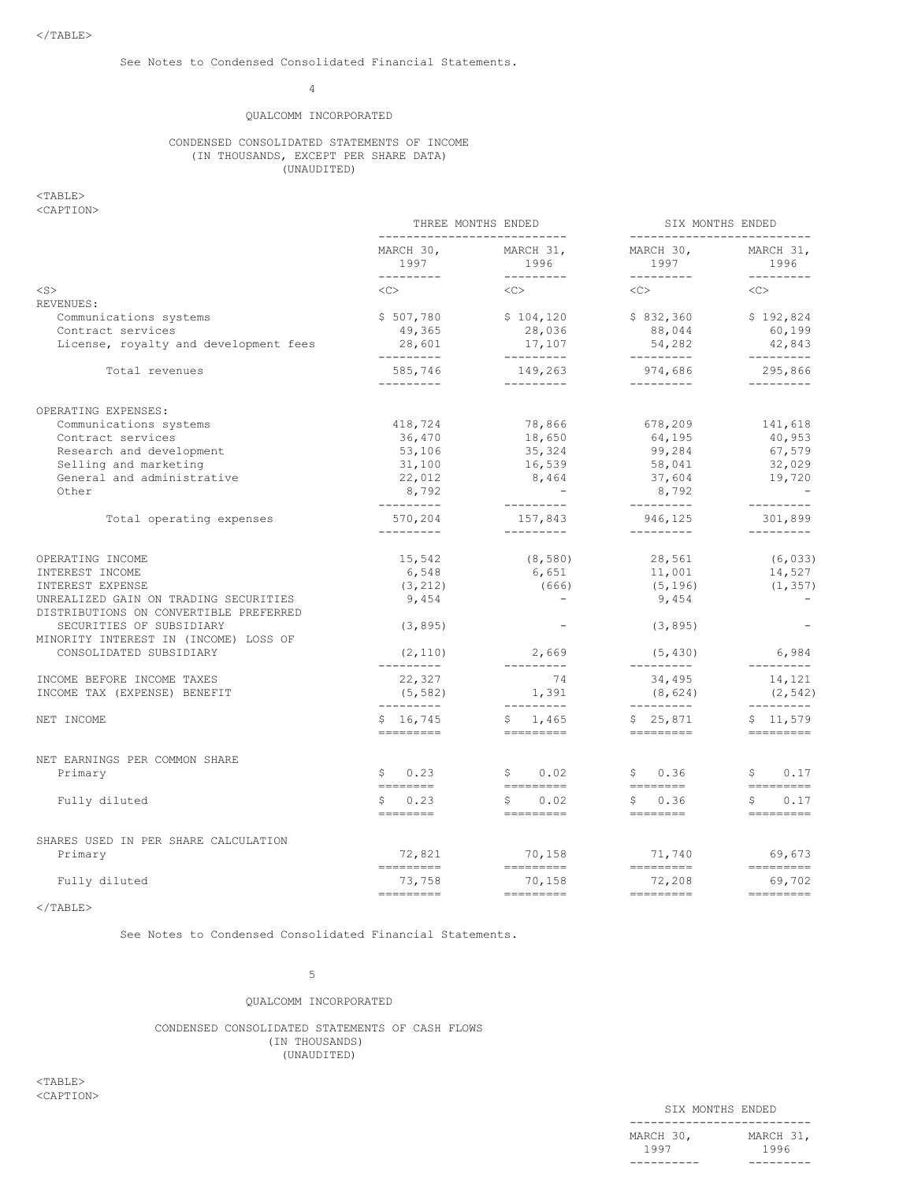## 4

## QUALCOMM INCORPORATED

## CONDENSED CONSOLIDATED STATEMENTS OF INCOME (IN THOUSANDS, EXCEPT PER SHARE DATA) (UNAUDITED)

### $<$ TABLE $>$ <CAPTION>

|                                                                                                                                                                                                                                                                                                                                                                                                                                                                                                                                                                                                                                                                                                                                                                                                                                                                                                                                                                                                                                                                                                                                                                                                                                                                                                                                                                                                                                                                                                                                                                                                                                                                                                                                                                                                                                            |                                                                                                                                                                                                                                                                                                                                                                                                                                                                                                                                                                                                                                                                                                                                                                                                                                                                                                                                                                                                                                                                                                                                                                                                                                                                  |  | SIX MONTHS ENDED               |  |
|--------------------------------------------------------------------------------------------------------------------------------------------------------------------------------------------------------------------------------------------------------------------------------------------------------------------------------------------------------------------------------------------------------------------------------------------------------------------------------------------------------------------------------------------------------------------------------------------------------------------------------------------------------------------------------------------------------------------------------------------------------------------------------------------------------------------------------------------------------------------------------------------------------------------------------------------------------------------------------------------------------------------------------------------------------------------------------------------------------------------------------------------------------------------------------------------------------------------------------------------------------------------------------------------------------------------------------------------------------------------------------------------------------------------------------------------------------------------------------------------------------------------------------------------------------------------------------------------------------------------------------------------------------------------------------------------------------------------------------------------------------------------------------------------------------------------------------------------|------------------------------------------------------------------------------------------------------------------------------------------------------------------------------------------------------------------------------------------------------------------------------------------------------------------------------------------------------------------------------------------------------------------------------------------------------------------------------------------------------------------------------------------------------------------------------------------------------------------------------------------------------------------------------------------------------------------------------------------------------------------------------------------------------------------------------------------------------------------------------------------------------------------------------------------------------------------------------------------------------------------------------------------------------------------------------------------------------------------------------------------------------------------------------------------------------------------------------------------------------------------|--|--------------------------------|--|
| THREE MONTHS ENDED<br>----------------------------<br>---------------------------<br>MARCH 30,<br>MARCH 30,<br>MARCH 31,<br>1996<br>1997<br>1997<br>----------<br>_________<br>$<$ S $>$<br><<><br>$<<$ C $>$<br><<><br>REVENUES:<br>\$507,780<br>\$104,120<br>\$832,360<br>Communications systems<br>49,365<br>Contract services<br>28,036<br>88,044<br>License, royalty and development fees<br>28,601<br>54,282<br>17,107<br>----------<br>----------<br>-----------<br>585,746<br>974,686<br>Total revenues<br>149,263<br>----------<br>----------<br>----------<br>OPERATING EXPENSES:<br>Communications systems<br>418,724<br>78,866<br>678,209<br>Contract services<br>36,470<br>18,650<br>64,195<br>Research and development<br>99,284<br>53,106<br>35,324<br>Selling and marketing<br>31,100<br>16,539<br>58,041<br>General and administrative<br>22,012<br>8,464<br>37,604<br>Other<br>8,792<br>$\mathcal{L}_{\text{max}}$ and $\mathcal{L}_{\text{max}}$<br>8,792<br>---------<br>----------<br>----------<br>946,125<br>570,204<br>157,843<br>Total operating expenses<br>----------<br>----------<br>----------<br>15,542<br>(8, 580)<br>28,561<br>OPERATING INCOME<br>6,548<br>6,651<br>INTEREST INCOME<br>11,001<br>INTEREST EXPENSE<br>(666)<br>(3, 212)<br>(5, 196)<br>UNREALIZED GAIN ON TRADING SECURITIES<br>9,454<br>9,454<br>DISTRIBUTIONS ON CONVERTIBLE PREFERRED<br>(3, 895)<br>(3, 895)<br>SECURITIES OF SUBSIDIARY<br>MINORITY INTEREST IN (INCOME) LOSS OF<br>CONSOLIDATED SUBSIDIARY<br>(2, 110)<br>2,669<br>(5, 430)<br>----------<br>----------<br>----------<br>34,495<br>74<br>22,327<br>INCOME BEFORE INCOME TAXES<br>1,391<br>INCOME TAX (EXPENSE) BENEFIT<br>(5, 582)<br>(8, 624)<br>----------<br>__________<br>----------<br>\$16,745<br>\$1,465<br>\$25,871<br>NET INCOME<br>=========<br>========= | MARCH 31,<br>1996                                                                                                                                                                                                                                                                                                                                                                                                                                                                                                                                                                                                                                                                                                                                                                                                                                                                                                                                                                                                                                                                                                                                                                                                                                                |  |                                |  |
|                                                                                                                                                                                                                                                                                                                                                                                                                                                                                                                                                                                                                                                                                                                                                                                                                                                                                                                                                                                                                                                                                                                                                                                                                                                                                                                                                                                                                                                                                                                                                                                                                                                                                                                                                                                                                                            |                                                                                                                                                                                                                                                                                                                                                                                                                                                                                                                                                                                                                                                                                                                                                                                                                                                                                                                                                                                                                                                                                                                                                                                                                                                                  |  | <<                             |  |
|                                                                                                                                                                                                                                                                                                                                                                                                                                                                                                                                                                                                                                                                                                                                                                                                                                                                                                                                                                                                                                                                                                                                                                                                                                                                                                                                                                                                                                                                                                                                                                                                                                                                                                                                                                                                                                            |                                                                                                                                                                                                                                                                                                                                                                                                                                                                                                                                                                                                                                                                                                                                                                                                                                                                                                                                                                                                                                                                                                                                                                                                                                                                  |  |                                |  |
|                                                                                                                                                                                                                                                                                                                                                                                                                                                                                                                                                                                                                                                                                                                                                                                                                                                                                                                                                                                                                                                                                                                                                                                                                                                                                                                                                                                                                                                                                                                                                                                                                                                                                                                                                                                                                                            |                                                                                                                                                                                                                                                                                                                                                                                                                                                                                                                                                                                                                                                                                                                                                                                                                                                                                                                                                                                                                                                                                                                                                                                                                                                                  |  | \$192,824                      |  |
|                                                                                                                                                                                                                                                                                                                                                                                                                                                                                                                                                                                                                                                                                                                                                                                                                                                                                                                                                                                                                                                                                                                                                                                                                                                                                                                                                                                                                                                                                                                                                                                                                                                                                                                                                                                                                                            |                                                                                                                                                                                                                                                                                                                                                                                                                                                                                                                                                                                                                                                                                                                                                                                                                                                                                                                                                                                                                                                                                                                                                                                                                                                                  |  |                                |  |
|                                                                                                                                                                                                                                                                                                                                                                                                                                                                                                                                                                                                                                                                                                                                                                                                                                                                                                                                                                                                                                                                                                                                                                                                                                                                                                                                                                                                                                                                                                                                                                                                                                                                                                                                                                                                                                            |                                                                                                                                                                                                                                                                                                                                                                                                                                                                                                                                                                                                                                                                                                                                                                                                                                                                                                                                                                                                                                                                                                                                                                                                                                                                  |  | 42,843                         |  |
|                                                                                                                                                                                                                                                                                                                                                                                                                                                                                                                                                                                                                                                                                                                                                                                                                                                                                                                                                                                                                                                                                                                                                                                                                                                                                                                                                                                                                                                                                                                                                                                                                                                                                                                                                                                                                                            |                                                                                                                                                                                                                                                                                                                                                                                                                                                                                                                                                                                                                                                                                                                                                                                                                                                                                                                                                                                                                                                                                                                                                                                                                                                                  |  | 295,866<br>$- - - - - - - - -$ |  |
|                                                                                                                                                                                                                                                                                                                                                                                                                                                                                                                                                                                                                                                                                                                                                                                                                                                                                                                                                                                                                                                                                                                                                                                                                                                                                                                                                                                                                                                                                                                                                                                                                                                                                                                                                                                                                                            |                                                                                                                                                                                                                                                                                                                                                                                                                                                                                                                                                                                                                                                                                                                                                                                                                                                                                                                                                                                                                                                                                                                                                                                                                                                                  |  |                                |  |
|                                                                                                                                                                                                                                                                                                                                                                                                                                                                                                                                                                                                                                                                                                                                                                                                                                                                                                                                                                                                                                                                                                                                                                                                                                                                                                                                                                                                                                                                                                                                                                                                                                                                                                                                                                                                                                            |                                                                                                                                                                                                                                                                                                                                                                                                                                                                                                                                                                                                                                                                                                                                                                                                                                                                                                                                                                                                                                                                                                                                                                                                                                                                  |  |                                |  |
|                                                                                                                                                                                                                                                                                                                                                                                                                                                                                                                                                                                                                                                                                                                                                                                                                                                                                                                                                                                                                                                                                                                                                                                                                                                                                                                                                                                                                                                                                                                                                                                                                                                                                                                                                                                                                                            |                                                                                                                                                                                                                                                                                                                                                                                                                                                                                                                                                                                                                                                                                                                                                                                                                                                                                                                                                                                                                                                                                                                                                                                                                                                                  |  |                                |  |
|                                                                                                                                                                                                                                                                                                                                                                                                                                                                                                                                                                                                                                                                                                                                                                                                                                                                                                                                                                                                                                                                                                                                                                                                                                                                                                                                                                                                                                                                                                                                                                                                                                                                                                                                                                                                                                            |                                                                                                                                                                                                                                                                                                                                                                                                                                                                                                                                                                                                                                                                                                                                                                                                                                                                                                                                                                                                                                                                                                                                                                                                                                                                  |  |                                |  |
|                                                                                                                                                                                                                                                                                                                                                                                                                                                                                                                                                                                                                                                                                                                                                                                                                                                                                                                                                                                                                                                                                                                                                                                                                                                                                                                                                                                                                                                                                                                                                                                                                                                                                                                                                                                                                                            |                                                                                                                                                                                                                                                                                                                                                                                                                                                                                                                                                                                                                                                                                                                                                                                                                                                                                                                                                                                                                                                                                                                                                                                                                                                                  |  |                                |  |
|                                                                                                                                                                                                                                                                                                                                                                                                                                                                                                                                                                                                                                                                                                                                                                                                                                                                                                                                                                                                                                                                                                                                                                                                                                                                                                                                                                                                                                                                                                                                                                                                                                                                                                                                                                                                                                            |                                                                                                                                                                                                                                                                                                                                                                                                                                                                                                                                                                                                                                                                                                                                                                                                                                                                                                                                                                                                                                                                                                                                                                                                                                                                  |  |                                |  |
|                                                                                                                                                                                                                                                                                                                                                                                                                                                                                                                                                                                                                                                                                                                                                                                                                                                                                                                                                                                                                                                                                                                                                                                                                                                                                                                                                                                                                                                                                                                                                                                                                                                                                                                                                                                                                                            | $- - - - - - - - -$<br>60,199<br>$- - - - - - - - -$<br>141,618<br>40,953<br>67,579<br>32,029<br>19,720<br>$- - - - - - - - -$<br>301,899<br>$- - - - - - - - -$<br>(6, 033)<br>14,527<br>(1, 357)<br>6,984<br>$- - - - - - - - -$<br>14,121<br>(2, 542)<br>$- - - - - - - - -$<br>\$11,579<br>==========<br>\$0.23<br>\$0.02<br>\$0.36<br>S<br>0.17<br><b>EEEEEEEE</b><br>----------<br>---------<br>$=$ =========<br>0.23<br>$\mathsf{S}$<br>0.02<br>\$0.36<br>\$<br>\$<br>0.17<br>--------<br>___________<br>__________<br>$=$ =========<br>72,821<br>70,158<br>71,740<br>69,673<br>=========<br>=========<br>----------<br>$\qquad \qquad \doteq\qquad \qquad \doteq\qquad \qquad \doteq\qquad \qquad \qquad$<br>73,758<br>70,158<br>72,208<br>69,702<br>=========<br>$\begin{array}{cccccccccc} \multicolumn{2}{c}{} & \multicolumn{2}{c}{} & \multicolumn{2}{c}{} & \multicolumn{2}{c}{} & \multicolumn{2}{c}{} & \multicolumn{2}{c}{} & \multicolumn{2}{c}{} & \multicolumn{2}{c}{} & \multicolumn{2}{c}{} & \multicolumn{2}{c}{} & \multicolumn{2}{c}{} & \multicolumn{2}{c}{} & \multicolumn{2}{c}{} & \multicolumn{2}{c}{} & \multicolumn{2}{c}{} & \multicolumn{2}{c}{} & \multicolumn{2}{c}{} & \multicolumn{2}{c}{} & \multicolumn{2}{c}{} & \mult$ |  |                                |  |
|                                                                                                                                                                                                                                                                                                                                                                                                                                                                                                                                                                                                                                                                                                                                                                                                                                                                                                                                                                                                                                                                                                                                                                                                                                                                                                                                                                                                                                                                                                                                                                                                                                                                                                                                                                                                                                            |                                                                                                                                                                                                                                                                                                                                                                                                                                                                                                                                                                                                                                                                                                                                                                                                                                                                                                                                                                                                                                                                                                                                                                                                                                                                  |  |                                |  |
|                                                                                                                                                                                                                                                                                                                                                                                                                                                                                                                                                                                                                                                                                                                                                                                                                                                                                                                                                                                                                                                                                                                                                                                                                                                                                                                                                                                                                                                                                                                                                                                                                                                                                                                                                                                                                                            |                                                                                                                                                                                                                                                                                                                                                                                                                                                                                                                                                                                                                                                                                                                                                                                                                                                                                                                                                                                                                                                                                                                                                                                                                                                                  |  |                                |  |
|                                                                                                                                                                                                                                                                                                                                                                                                                                                                                                                                                                                                                                                                                                                                                                                                                                                                                                                                                                                                                                                                                                                                                                                                                                                                                                                                                                                                                                                                                                                                                                                                                                                                                                                                                                                                                                            |                                                                                                                                                                                                                                                                                                                                                                                                                                                                                                                                                                                                                                                                                                                                                                                                                                                                                                                                                                                                                                                                                                                                                                                                                                                                  |  |                                |  |
|                                                                                                                                                                                                                                                                                                                                                                                                                                                                                                                                                                                                                                                                                                                                                                                                                                                                                                                                                                                                                                                                                                                                                                                                                                                                                                                                                                                                                                                                                                                                                                                                                                                                                                                                                                                                                                            |                                                                                                                                                                                                                                                                                                                                                                                                                                                                                                                                                                                                                                                                                                                                                                                                                                                                                                                                                                                                                                                                                                                                                                                                                                                                  |  |                                |  |
|                                                                                                                                                                                                                                                                                                                                                                                                                                                                                                                                                                                                                                                                                                                                                                                                                                                                                                                                                                                                                                                                                                                                                                                                                                                                                                                                                                                                                                                                                                                                                                                                                                                                                                                                                                                                                                            |                                                                                                                                                                                                                                                                                                                                                                                                                                                                                                                                                                                                                                                                                                                                                                                                                                                                                                                                                                                                                                                                                                                                                                                                                                                                  |  |                                |  |
|                                                                                                                                                                                                                                                                                                                                                                                                                                                                                                                                                                                                                                                                                                                                                                                                                                                                                                                                                                                                                                                                                                                                                                                                                                                                                                                                                                                                                                                                                                                                                                                                                                                                                                                                                                                                                                            |                                                                                                                                                                                                                                                                                                                                                                                                                                                                                                                                                                                                                                                                                                                                                                                                                                                                                                                                                                                                                                                                                                                                                                                                                                                                  |  |                                |  |
|                                                                                                                                                                                                                                                                                                                                                                                                                                                                                                                                                                                                                                                                                                                                                                                                                                                                                                                                                                                                                                                                                                                                                                                                                                                                                                                                                                                                                                                                                                                                                                                                                                                                                                                                                                                                                                            |                                                                                                                                                                                                                                                                                                                                                                                                                                                                                                                                                                                                                                                                                                                                                                                                                                                                                                                                                                                                                                                                                                                                                                                                                                                                  |  |                                |  |
|                                                                                                                                                                                                                                                                                                                                                                                                                                                                                                                                                                                                                                                                                                                                                                                                                                                                                                                                                                                                                                                                                                                                                                                                                                                                                                                                                                                                                                                                                                                                                                                                                                                                                                                                                                                                                                            |                                                                                                                                                                                                                                                                                                                                                                                                                                                                                                                                                                                                                                                                                                                                                                                                                                                                                                                                                                                                                                                                                                                                                                                                                                                                  |  |                                |  |
|                                                                                                                                                                                                                                                                                                                                                                                                                                                                                                                                                                                                                                                                                                                                                                                                                                                                                                                                                                                                                                                                                                                                                                                                                                                                                                                                                                                                                                                                                                                                                                                                                                                                                                                                                                                                                                            |                                                                                                                                                                                                                                                                                                                                                                                                                                                                                                                                                                                                                                                                                                                                                                                                                                                                                                                                                                                                                                                                                                                                                                                                                                                                  |  |                                |  |
|                                                                                                                                                                                                                                                                                                                                                                                                                                                                                                                                                                                                                                                                                                                                                                                                                                                                                                                                                                                                                                                                                                                                                                                                                                                                                                                                                                                                                                                                                                                                                                                                                                                                                                                                                                                                                                            |                                                                                                                                                                                                                                                                                                                                                                                                                                                                                                                                                                                                                                                                                                                                                                                                                                                                                                                                                                                                                                                                                                                                                                                                                                                                  |  |                                |  |
|                                                                                                                                                                                                                                                                                                                                                                                                                                                                                                                                                                                                                                                                                                                                                                                                                                                                                                                                                                                                                                                                                                                                                                                                                                                                                                                                                                                                                                                                                                                                                                                                                                                                                                                                                                                                                                            |                                                                                                                                                                                                                                                                                                                                                                                                                                                                                                                                                                                                                                                                                                                                                                                                                                                                                                                                                                                                                                                                                                                                                                                                                                                                  |  |                                |  |
| NET EARNINGS PER COMMON SHARE                                                                                                                                                                                                                                                                                                                                                                                                                                                                                                                                                                                                                                                                                                                                                                                                                                                                                                                                                                                                                                                                                                                                                                                                                                                                                                                                                                                                                                                                                                                                                                                                                                                                                                                                                                                                              |                                                                                                                                                                                                                                                                                                                                                                                                                                                                                                                                                                                                                                                                                                                                                                                                                                                                                                                                                                                                                                                                                                                                                                                                                                                                  |  |                                |  |
| Primary                                                                                                                                                                                                                                                                                                                                                                                                                                                                                                                                                                                                                                                                                                                                                                                                                                                                                                                                                                                                                                                                                                                                                                                                                                                                                                                                                                                                                                                                                                                                                                                                                                                                                                                                                                                                                                    |                                                                                                                                                                                                                                                                                                                                                                                                                                                                                                                                                                                                                                                                                                                                                                                                                                                                                                                                                                                                                                                                                                                                                                                                                                                                  |  |                                |  |
| Fully diluted                                                                                                                                                                                                                                                                                                                                                                                                                                                                                                                                                                                                                                                                                                                                                                                                                                                                                                                                                                                                                                                                                                                                                                                                                                                                                                                                                                                                                                                                                                                                                                                                                                                                                                                                                                                                                              |                                                                                                                                                                                                                                                                                                                                                                                                                                                                                                                                                                                                                                                                                                                                                                                                                                                                                                                                                                                                                                                                                                                                                                                                                                                                  |  |                                |  |
| SHARES USED IN PER SHARE CALCULATION                                                                                                                                                                                                                                                                                                                                                                                                                                                                                                                                                                                                                                                                                                                                                                                                                                                                                                                                                                                                                                                                                                                                                                                                                                                                                                                                                                                                                                                                                                                                                                                                                                                                                                                                                                                                       |                                                                                                                                                                                                                                                                                                                                                                                                                                                                                                                                                                                                                                                                                                                                                                                                                                                                                                                                                                                                                                                                                                                                                                                                                                                                  |  |                                |  |
| Primary                                                                                                                                                                                                                                                                                                                                                                                                                                                                                                                                                                                                                                                                                                                                                                                                                                                                                                                                                                                                                                                                                                                                                                                                                                                                                                                                                                                                                                                                                                                                                                                                                                                                                                                                                                                                                                    |                                                                                                                                                                                                                                                                                                                                                                                                                                                                                                                                                                                                                                                                                                                                                                                                                                                                                                                                                                                                                                                                                                                                                                                                                                                                  |  |                                |  |
| Fully diluted                                                                                                                                                                                                                                                                                                                                                                                                                                                                                                                                                                                                                                                                                                                                                                                                                                                                                                                                                                                                                                                                                                                                                                                                                                                                                                                                                                                                                                                                                                                                                                                                                                                                                                                                                                                                                              |                                                                                                                                                                                                                                                                                                                                                                                                                                                                                                                                                                                                                                                                                                                                                                                                                                                                                                                                                                                                                                                                                                                                                                                                                                                                  |  |                                |  |
|                                                                                                                                                                                                                                                                                                                                                                                                                                                                                                                                                                                                                                                                                                                                                                                                                                                                                                                                                                                                                                                                                                                                                                                                                                                                                                                                                                                                                                                                                                                                                                                                                                                                                                                                                                                                                                            |                                                                                                                                                                                                                                                                                                                                                                                                                                                                                                                                                                                                                                                                                                                                                                                                                                                                                                                                                                                                                                                                                                                                                                                                                                                                  |  |                                |  |

 $<$ /TABLE>

See Notes to Condensed Consolidated Financial Statements.

## 5

## QUALCOMM INCORPORATED

CONDENSED CONSOLIDATED STATEMENTS OF CASH FLOWS (IN THOUSANDS) (UNAUDITED)

 $<$ TABLE> <CAPTION>

|                           | SIX MONTHS ENDED |                   |  |
|---------------------------|------------------|-------------------|--|
| MARCH 30 <i>.</i><br>1997 |                  | MARCH 31,<br>1996 |  |
|                           |                  |                   |  |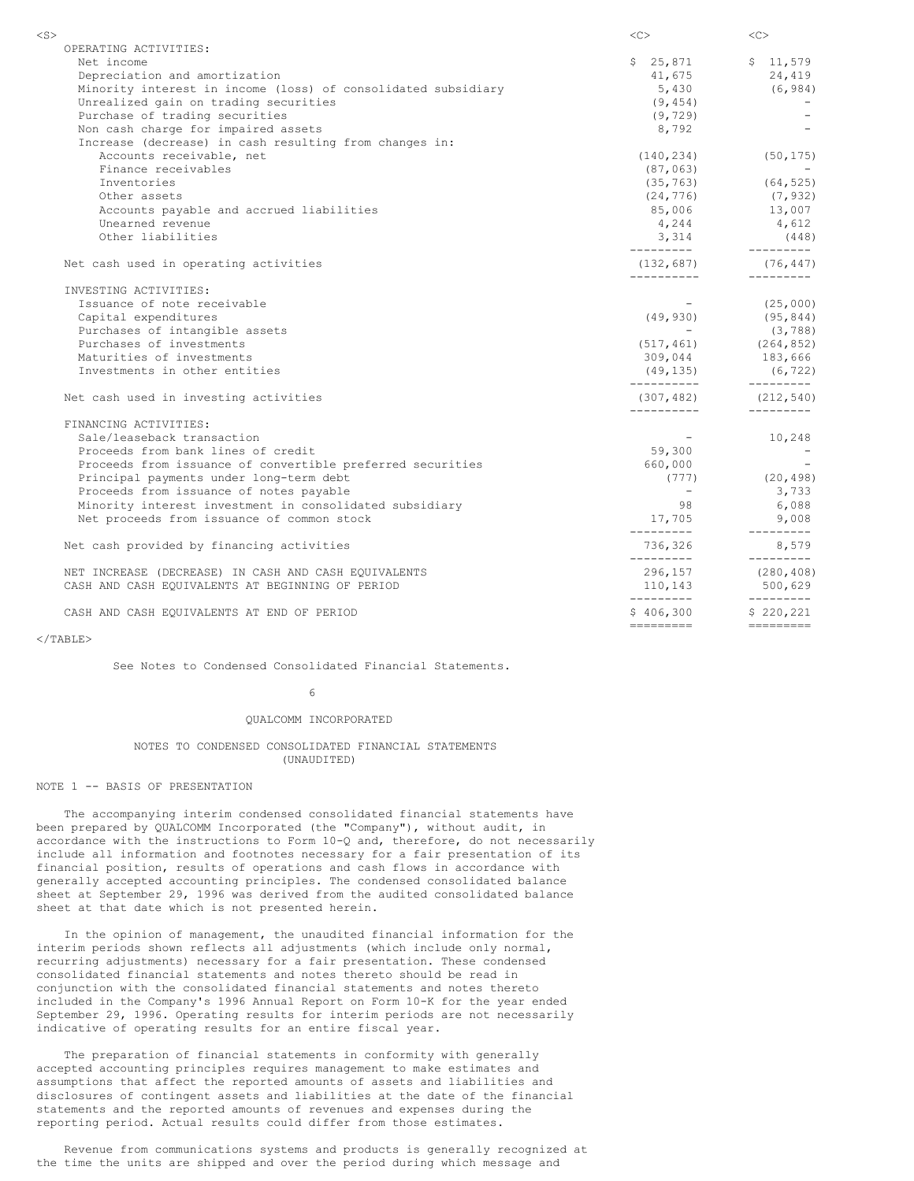| $<$ S $>$                                                     | $<\infty$                | $<<$ $<$ $>$                                                                                                     |
|---------------------------------------------------------------|--------------------------|------------------------------------------------------------------------------------------------------------------|
| OPERATING ACTIVITIES:                                         |                          |                                                                                                                  |
| Net income                                                    | \$25,871                 | \$11,579                                                                                                         |
| Depreciation and amortization                                 | 41,675                   | 24,419                                                                                                           |
| Minority interest in income (loss) of consolidated subsidiary |                          | $5,430$ (6,984)                                                                                                  |
| Unrealized gain on trading securities                         | (9, 454)                 |                                                                                                                  |
| Purchase of trading securities                                | (9, 729)                 |                                                                                                                  |
| Non cash charge for impaired assets                           | 8,792                    |                                                                                                                  |
| Increase (decrease) in cash resulting from changes in:        |                          |                                                                                                                  |
| Accounts receivable, net                                      | (140, 234)               | (50, 175)                                                                                                        |
| Finance receivables                                           | (87, 063)                |                                                                                                                  |
| Inventories                                                   | (35, 763)                | $(64, 525)$<br>$(7, 932)$                                                                                        |
| Other assets                                                  | (24, 776)                |                                                                                                                  |
| Accounts payable and accrued liabilities                      |                          | 85,006 13,007                                                                                                    |
| Unearned revenue                                              |                          | $4,244$ $4,612$                                                                                                  |
| Other liabilities                                             | 3,314                    | (448)                                                                                                            |
| Net cash used in operating activities                         |                          | $(132, 687)$ $(76, 447)$                                                                                         |
| INVESTING ACTIVITIES:                                         | -----------              |                                                                                                                  |
| Issuance of note receivable                                   |                          | (25,000)                                                                                                         |
| Capital expenditures                                          | (49, 930)                |                                                                                                                  |
| Purchases of intangible assets                                | <b>Contract Contract</b> | $(95, 844)$<br>$(3, 788)$                                                                                        |
| Purchases of investments                                      |                          | $(517, 461)$ $(264, 852)$                                                                                        |
| Maturities of investments                                     |                          |                                                                                                                  |
| Investments in other entities                                 |                          | $\begin{array}{cccc} 309,044 & & & 183,666 \\ (49,135) & & & (6,722) \\ \text{---} & & & \text{---} \end{array}$ |
| Net cash used in investing activities                         |                          | $(307, 482)$ $(212, 540)$                                                                                        |
| FINANCING ACTIVITIES:                                         | __________               | ----------                                                                                                       |
| Sale/leaseback transaction                                    |                          | 10,248                                                                                                           |
| Proceeds from bank lines of credit                            | 59,300                   | <b>Service State</b>                                                                                             |
| Proceeds from issuance of convertible preferred securities    | 660,000                  |                                                                                                                  |
| Principal payments under long-term debt                       | (777)                    | (20, 498)                                                                                                        |
| Proceeds from issuance of notes payable                       | $\sim$ $-$               | 3,733                                                                                                            |
| Minority interest investment in consolidated subsidiary       | 98                       | 6,088                                                                                                            |
| Net proceeds from issuance of common stock                    | 17,705                   | 9,008                                                                                                            |
| Net cash provided by financing activities                     | _________<br>736,326     | $- - - - - - - - -$<br>8,579                                                                                     |
| NET INCREASE (DECREASE) IN CASH AND CASH EQUIVALENTS          | _________<br>296,157     | $- - - - - - - - -$<br>(280, 408)                                                                                |
| CASH AND CASH EQUIVALENTS AT BEGINNING OF PERIOD              | 110,143<br>----------    | 500,629<br>___________                                                                                           |
| CASH AND CASH EQUIVALENTS AT END OF PERIOD                    | \$406,300                | \$220, 221                                                                                                       |
|                                                               | =========                | ----------                                                                                                       |

 $\langle$ /TABLE>

See Notes to Condensed Consolidated Financial Statements.

6

#### QUALCOMM INCORPORATED

#### NOTES TO CONDENSED CONSOLIDATED FINANCIAL STATEMENTS (UNAUDITED)

## NOTE 1 -- BASIS OF PRESENTATION

The accompanying interim condensed consolidated financial statements have been prepared by QUALCOMM Incorporated (the "Company"), without audit, in accordance with the instructions to Form 10-Q and, therefore, do not necessarily include all information and footnotes necessary for a fair presentation of its financial position, results of operations and cash flows in accordance with generally accepted accounting principles. The condensed consolidated balance sheet at September 29, 1996 was derived from the audited consolidated balance sheet at that date which is not presented herein.

In the opinion of management, the unaudited financial information for the interim periods shown reflects all adjustments (which include only normal, recurring adjustments) necessary for a fair presentation. These condensed consolidated financial statements and notes thereto should be read in conjunction with the consolidated financial statements and notes thereto included in the Company's 1996 Annual Report on Form 10-K for the year ended September 29, 1996. Operating results for interim periods are not necessarily indicative of operating results for an entire fiscal year.

The preparation of financial statements in conformity with generally accepted accounting principles requires management to make estimates and assumptions that affect the reported amounts of assets and liabilities and disclosures of contingent assets and liabilities at the date of the financial statements and the reported amounts of revenues and expenses during the reporting period. Actual results could differ from those estimates.

Revenue from communications systems and products is generally recognized at the time the units are shipped and over the period during which message and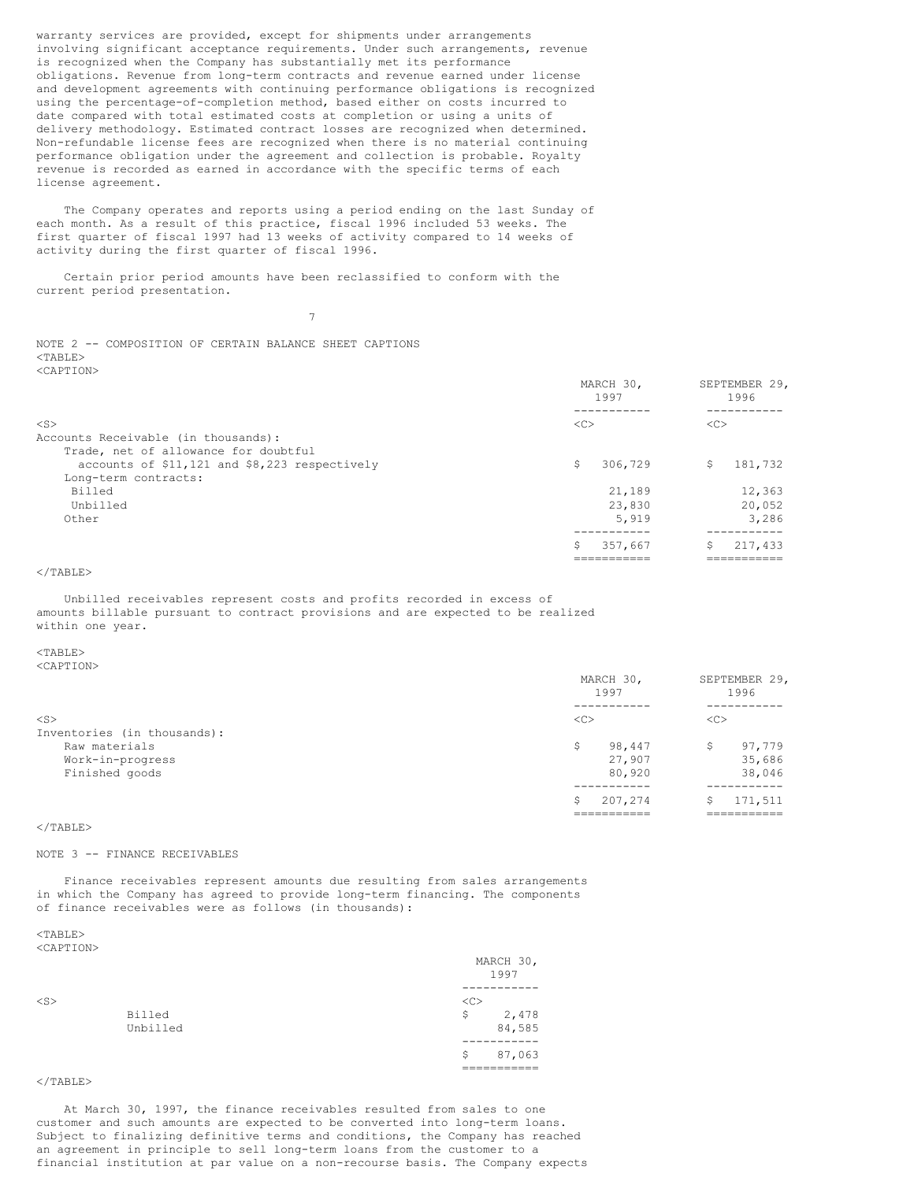warranty services are provided, except for shipments under arrangements involving significant acceptance requirements. Under such arrangements, revenue is recognized when the Company has substantially met its performance obligations. Revenue from long-term contracts and revenue earned under license and development agreements with continuing performance obligations is recognized using the percentage-of-completion method, based either on costs incurred to date compared with total estimated costs at completion or using a units of delivery methodology. Estimated contract losses are recognized when determined. Non-refundable license fees are recognized when there is no material continuing performance obligation under the agreement and collection is probable. Royalty revenue is recorded as earned in accordance with the specific terms of each license agreement.

The Company operates and reports using a period ending on the last Sunday of each month. As a result of this practice, fiscal 1996 included 53 weeks. The first quarter of fiscal 1997 had 13 weeks of activity compared to 14 weeks of activity during the first quarter of fiscal 1996.

Certain prior period amounts have been reclassified to conform with the current period presentation.

7

NOTE 2 -- COMPOSITION OF CERTAIN BALANCE SHEET CAPTIONS <TABLE> <CAPTION>

|                                               | MARCH 30,<br>1997 | SEPTEMBER 29,<br>1996 |
|-----------------------------------------------|-------------------|-----------------------|
|                                               |                   |                       |
| $<$ S $>$                                     | <<                | <<                    |
| Accounts Receivable (in thousands):           |                   |                       |
| Trade, net of allowance for doubtful          |                   |                       |
| accounts of \$11,121 and \$8,223 respectively | \$<br>306,729     | \$<br>181,732         |
| Long-term contracts:                          |                   |                       |
| Billed                                        | 21,189            | 12,363                |
| Unbilled                                      | 23,830            | 20,052                |
| Other                                         | 5,919             | 3,286                 |
|                                               |                   |                       |
|                                               | Ŝ<br>357,667      | Ŝ<br>217,433          |
|                                               |                   |                       |

## $\langle$ /TABLE>

Unbilled receivables represent costs and profits recorded in excess of amounts billable pursuant to contract provisions and are expected to be realized within one year.

## $<$ TABLE>

<CAPTION>

|                             | MARCH 30,<br>1997 | SEPTEMBER 29,<br>1996 |  |  |
|-----------------------------|-------------------|-----------------------|--|--|
| $<$ S $>$                   | < <sub></sub>     | <<                    |  |  |
| Inventories (in thousands): |                   |                       |  |  |
| Raw materials               | 98,447<br>Ŝ       | 97,779<br>\$          |  |  |
| Work-in-progress            | 27,907            | 35,686                |  |  |
| Finished goods              | 80,920            | 38,046                |  |  |
|                             | 207,274<br>S      | 171,511<br>S          |  |  |
|                             |                   |                       |  |  |

## $<$ /TABLE>

## NOTE 3 -- FINANCE RECEIVABLES

Finance receivables represent amounts due resulting from sales arrangements in which the Company has agreed to provide long-term financing. The components of finance receivables were as follows (in thousands):

#### $<$ TABLE> <CAPTION>

|           |          |    | MARCH 30,<br>1997 |
|-----------|----------|----|-------------------|
|           |          |    |                   |
| $<$ S $>$ |          | << |                   |
|           | Billed   | \$ | 2,478             |
|           | Unbilled |    | 84,585            |
|           |          |    |                   |
|           |          | Ŝ  | 87,063            |
|           |          |    |                   |

## $<$ /TABLE>

At March 30, 1997, the finance receivables resulted from sales to one customer and such amounts are expected to be converted into long-term loans. Subject to finalizing definitive terms and conditions, the Company has reached an agreement in principle to sell long-term loans from the customer to a financial institution at par value on a non-recourse basis. The Company expects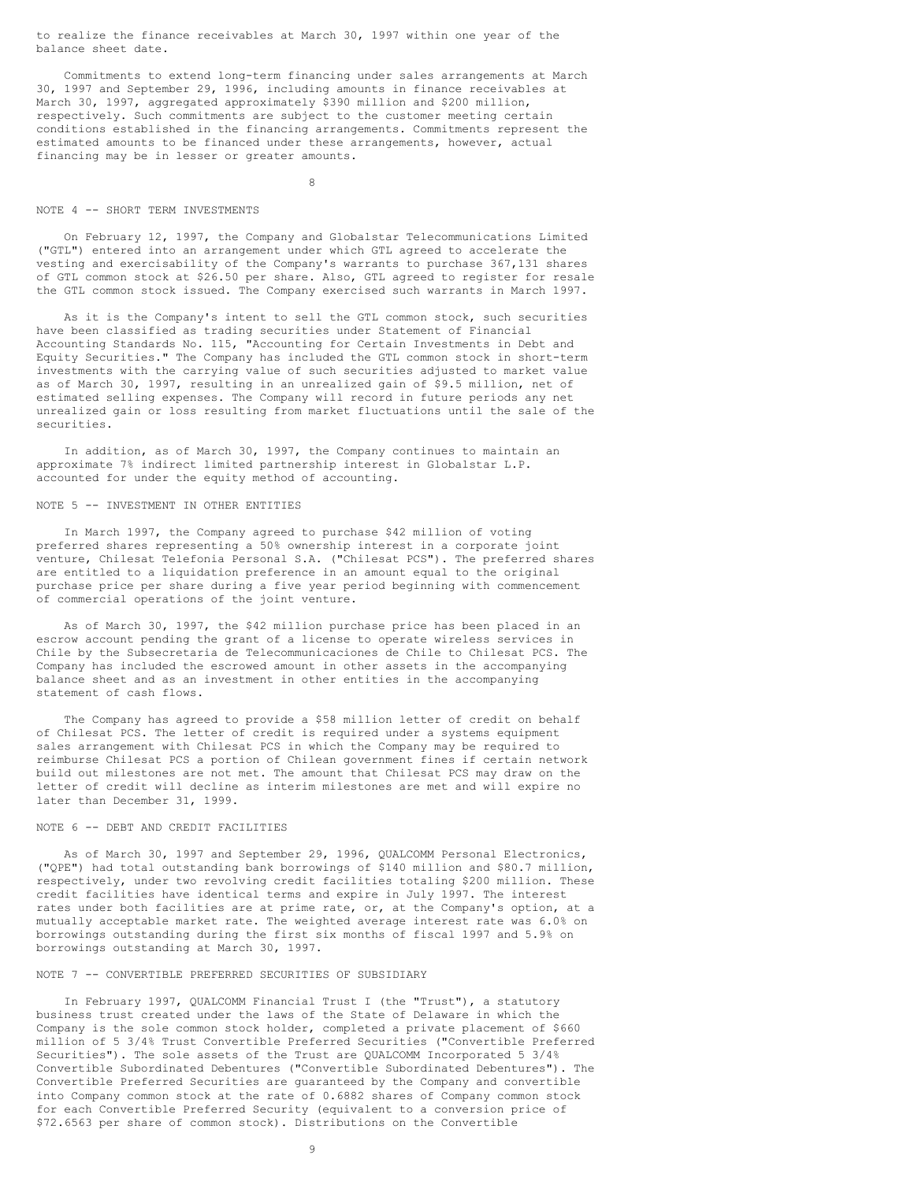to realize the finance receivables at March 30, 1997 within one year of the balance sheet date.

Commitments to extend long-term financing under sales arrangements at March 30, 1997 and September 29, 1996, including amounts in finance receivables at March 30, 1997, aggregated approximately \$390 million and \$200 million, respectively. Such commitments are subject to the customer meeting certain conditions established in the financing arrangements. Commitments represent the estimated amounts to be financed under these arrangements, however, actual financing may be in lesser or greater amounts.

8

#### NOTE 4 -- SHORT TERM INVESTMENTS

On February 12, 1997, the Company and Globalstar Telecommunications Limited ("GTL") entered into an arrangement under which GTL agreed to accelerate the vesting and exercisability of the Company's warrants to purchase 367,131 shares of GTL common stock at \$26.50 per share. Also, GTL agreed to register for resale the GTL common stock issued. The Company exercised such warrants in March 1997.

As it is the Company's intent to sell the GTL common stock, such securities have been classified as trading securities under Statement of Financial Accounting Standards No. 115, "Accounting for Certain Investments in Debt and Equity Securities." The Company has included the GTL common stock in short-term investments with the carrying value of such securities adjusted to market value as of March 30, 1997, resulting in an unrealized gain of \$9.5 million, net of estimated selling expenses. The Company will record in future periods any net unrealized gain or loss resulting from market fluctuations until the sale of the securities.

In addition, as of March 30, 1997, the Company continues to maintain an approximate 7% indirect limited partnership interest in Globalstar L.P. accounted for under the equity method of accounting.

## NOTE 5 -- INVESTMENT IN OTHER ENTITIES

In March 1997, the Company agreed to purchase \$42 million of voting preferred shares representing a 50% ownership interest in a corporate joint venture, Chilesat Telefonia Personal S.A. ("Chilesat PCS"). The preferred shares are entitled to a liquidation preference in an amount equal to the original purchase price per share during a five year period beginning with commencement of commercial operations of the joint venture.

As of March 30, 1997, the \$42 million purchase price has been placed in an escrow account pending the grant of a license to operate wireless services in Chile by the Subsecretaria de Telecommunicaciones de Chile to Chilesat PCS. The Company has included the escrowed amount in other assets in the accompanying balance sheet and as an investment in other entities in the accompanying statement of cash flows.

The Company has agreed to provide a \$58 million letter of credit on behalf of Chilesat PCS. The letter of credit is required under a systems equipment sales arrangement with Chilesat PCS in which the Company may be required to reimburse Chilesat PCS a portion of Chilean government fines if certain network build out milestones are not met. The amount that Chilesat PCS may draw on the letter of credit will decline as interim milestones are met and will expire no later than December 31, 1999.

## NOTE 6 -- DEBT AND CREDIT FACILITIES

As of March 30, 1997 and September 29, 1996, QUALCOMM Personal Electronics, ("QPE") had total outstanding bank borrowings of \$140 million and \$80.7 million, respectively, under two revolving credit facilities totaling \$200 million. These credit facilities have identical terms and expire in July 1997. The interest rates under both facilities are at prime rate, or, at the Company's option, at a mutually acceptable market rate. The weighted average interest rate was 6.0% on borrowings outstanding during the first six months of fiscal 1997 and 5.9% on borrowings outstanding at March 30, 1997.

#### NOTE 7 -- CONVERTIBLE PREFERRED SECURITIES OF SUBSIDIARY

In February 1997, QUALCOMM Financial Trust I (the "Trust"), a statutory business trust created under the laws of the State of Delaware in which the Company is the sole common stock holder, completed a private placement of \$660 million of 5 3/4% Trust Convertible Preferred Securities ("Convertible Preferred Securities"). The sole assets of the Trust are QUALCOMM Incorporated 5 3/4% Convertible Subordinated Debentures ("Convertible Subordinated Debentures"). The Convertible Preferred Securities are guaranteed by the Company and convertible into Company common stock at the rate of 0.6882 shares of Company common stock for each Convertible Preferred Security (equivalent to a conversion price of \$72.6563 per share of common stock). Distributions on the Convertible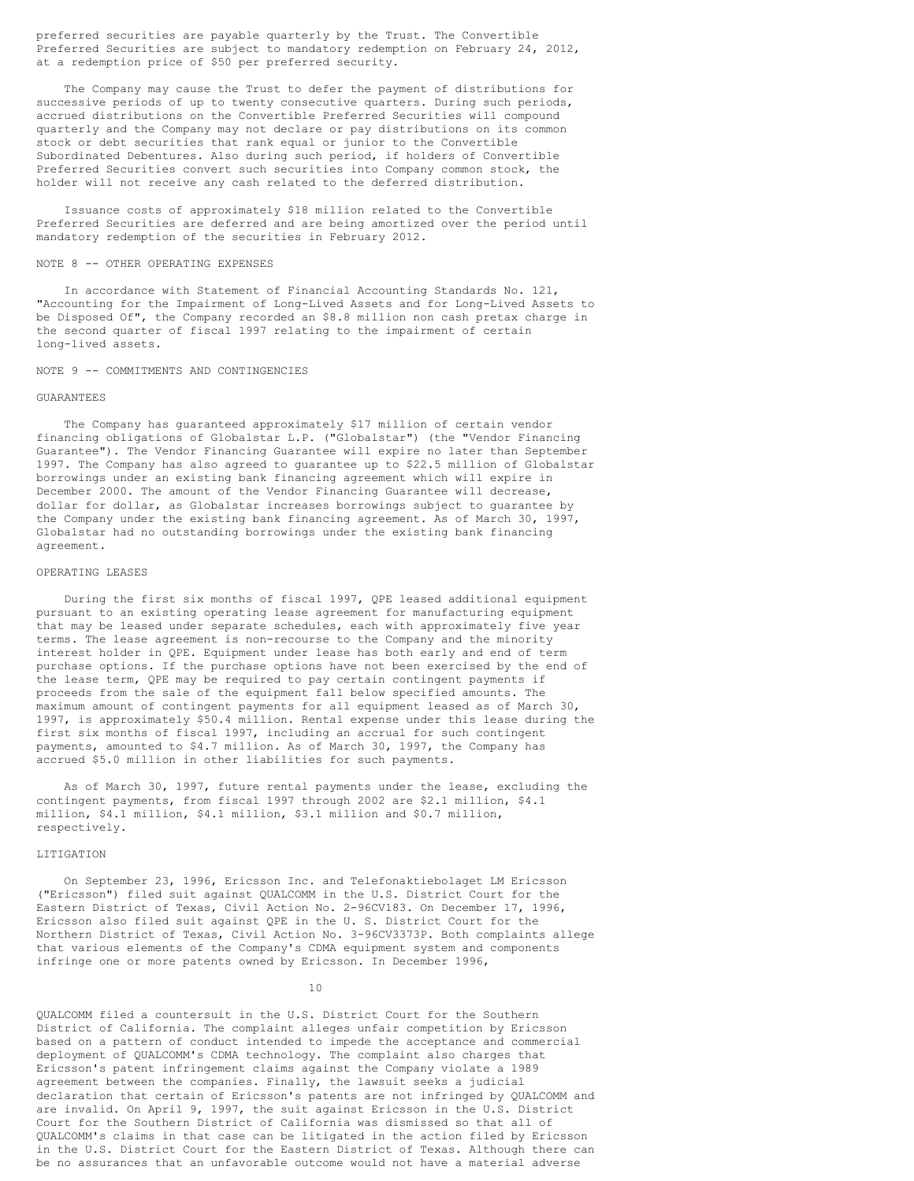preferred securities are payable quarterly by the Trust. The Convertible Preferred Securities are subject to mandatory redemption on February 24, 2012, at a redemption price of \$50 per preferred security.

The Company may cause the Trust to defer the payment of distributions for successive periods of up to twenty consecutive quarters. During such periods, accrued distributions on the Convertible Preferred Securities will compound quarterly and the Company may not declare or pay distributions on its common stock or debt securities that rank equal or junior to the Convertible Subordinated Debentures. Also during such period, if holders of Convertible Preferred Securities convert such securities into Company common stock, the holder will not receive any cash related to the deferred distribution.

Issuance costs of approximately \$18 million related to the Convertible Preferred Securities are deferred and are being amortized over the period until mandatory redemption of the securities in February 2012.

#### NOTE 8 -- OTHER OPERATING EXPENSES

In accordance with Statement of Financial Accounting Standards No. 121, "Accounting for the Impairment of Long-Lived Assets and for Long-Lived Assets to be Disposed Of", the Company recorded an \$8.8 million non cash pretax charge in the second quarter of fiscal 1997 relating to the impairment of certain long-lived assets.

### NOTE 9 -- COMMITMENTS AND CONTINGENCIES

#### GUARANTEES

The Company has guaranteed approximately \$17 million of certain vendor financing obligations of Globalstar L.P. ("Globalstar") (the "Vendor Financing Guarantee"). The Vendor Financing Guarantee will expire no later than September 1997. The Company has also agreed to guarantee up to \$22.5 million of Globalstar borrowings under an existing bank financing agreement which will expire in December 2000. The amount of the Vendor Financing Guarantee will decrease, dollar for dollar, as Globalstar increases borrowings subject to guarantee by the Company under the existing bank financing agreement. As of March 30, 1997, Globalstar had no outstanding borrowings under the existing bank financing agreement.

### OPERATING LEASES

During the first six months of fiscal 1997, QPE leased additional equipment pursuant to an existing operating lease agreement for manufacturing equipment that may be leased under separate schedules, each with approximately five year terms. The lease agreement is non-recourse to the Company and the minority interest holder in QPE. Equipment under lease has both early and end of term purchase options. If the purchase options have not been exercised by the end of the lease term, QPE may be required to pay certain contingent payments if proceeds from the sale of the equipment fall below specified amounts. The maximum amount of contingent payments for all equipment leased as of March 30, 1997, is approximately \$50.4 million. Rental expense under this lease during the first six months of fiscal 1997, including an accrual for such contingent payments, amounted to \$4.7 million. As of March 30, 1997, the Company has accrued \$5.0 million in other liabilities for such payments.

As of March 30, 1997, future rental payments under the lease, excluding the contingent payments, from fiscal 1997 through 2002 are \$2.1 million, \$4.1 million, \$4.1 million, \$4.1 million, \$3.1 million and \$0.7 million, respectively.

## LITIGATION

On September 23, 1996, Ericsson Inc. and Telefonaktiebolaget LM Ericsson ("Ericsson") filed suit against QUALCOMM in the U.S. District Court for the Eastern District of Texas, Civil Action No. 2-96CV183. On December 17, 1996, Ericsson also filed suit against QPE in the U. S. District Court for the Northern District of Texas, Civil Action No. 3-96CV3373P. Both complaints allege that various elements of the Company's CDMA equipment system and components infringe one or more patents owned by Ericsson. In December 1996,

10

QUALCOMM filed a countersuit in the U.S. District Court for the Southern District of California. The complaint alleges unfair competition by Ericsson based on a pattern of conduct intended to impede the acceptance and commercial deployment of QUALCOMM's CDMA technology. The complaint also charges that Ericsson's patent infringement claims against the Company violate a 1989 agreement between the companies. Finally, the lawsuit seeks a judicial declaration that certain of Ericsson's patents are not infringed by QUALCOMM and are invalid. On April 9, 1997, the suit against Ericsson in the U.S. District Court for the Southern District of California was dismissed so that all of QUALCOMM's claims in that case can be litigated in the action filed by Ericsson in the U.S. District Court for the Eastern District of Texas. Although there can be no assurances that an unfavorable outcome would not have a material adverse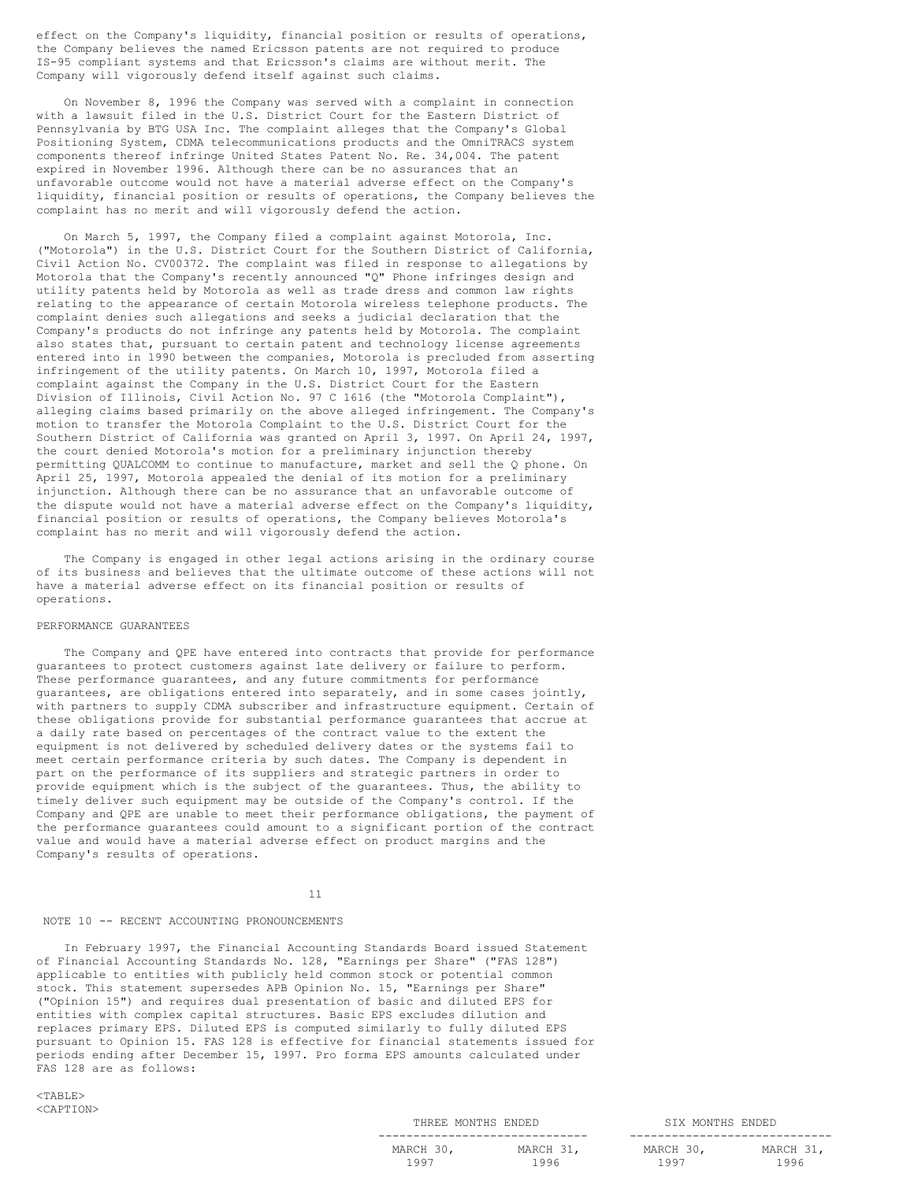effect on the Company's liquidity, financial position or results of operations, the Company believes the named Ericsson patents are not required to produce IS-95 compliant systems and that Ericsson's claims are without merit. The Company will vigorously defend itself against such claims.

On November 8, 1996 the Company was served with a complaint in connection with a lawsuit filed in the U.S. District Court for the Eastern District of Pennsylvania by BTG USA Inc. The complaint alleges that the Company's Global Positioning System, CDMA telecommunications products and the OmniTRACS system components thereof infringe United States Patent No. Re. 34,004. The patent expired in November 1996. Although there can be no assurances that an unfavorable outcome would not have a material adverse effect on the Company's liquidity, financial position or results of operations, the Company believes the complaint has no merit and will vigorously defend the action.

On March 5, 1997, the Company filed a complaint against Motorola, Inc. ("Motorola") in the U.S. District Court for the Southern District of California, Civil Action No. CV00372. The complaint was filed in response to allegations by Motorola that the Company's recently announced "Q" Phone infringes design and utility patents held by Motorola as well as trade dress and common law rights relating to the appearance of certain Motorola wireless telephone products. The complaint denies such allegations and seeks a judicial declaration that the Company's products do not infringe any patents held by Motorola. The complaint also states that, pursuant to certain patent and technology license agreements entered into in 1990 between the companies, Motorola is precluded from asserting infringement of the utility patents. On March 10, 1997, Motorola filed a complaint against the Company in the U.S. District Court for the Eastern Division of Illinois, Civil Action No. 97 C 1616 (the "Motorola Complaint"), alleging claims based primarily on the above alleged infringement. The Company's motion to transfer the Motorola Complaint to the U.S. District Court for the Southern District of California was granted on April 3, 1997. On April 24, 1997, the court denied Motorola's motion for a preliminary injunction thereby permitting QUALCOMM to continue to manufacture, market and sell the Q phone. On April 25, 1997, Motorola appealed the denial of its motion for a preliminary injunction. Although there can be no assurance that an unfavorable outcome of the dispute would not have a material adverse effect on the Company's liquidity, financial position or results of operations, the Company believes Motorola's complaint has no merit and will vigorously defend the action.

The Company is engaged in other legal actions arising in the ordinary course of its business and believes that the ultimate outcome of these actions will not have a material adverse effect on its financial position or results of operations.

### PERFORMANCE GUARANTEES

The Company and QPE have entered into contracts that provide for performance guarantees to protect customers against late delivery or failure to perform. These performance guarantees, and any future commitments for performance guarantees, are obligations entered into separately, and in some cases jointly, with partners to supply CDMA subscriber and infrastructure equipment. Certain of these obligations provide for substantial performance guarantees that accrue at a daily rate based on percentages of the contract value to the extent the equipment is not delivered by scheduled delivery dates or the systems fail to meet certain performance criteria by such dates. The Company is dependent in part on the performance of its suppliers and strategic partners in order to provide equipment which is the subject of the guarantees. Thus, the ability to timely deliver such equipment may be outside of the Company's control. If the Company and QPE are unable to meet their performance obligations, the payment of the performance guarantees could amount to a significant portion of the contract value and would have a material adverse effect on product margins and the Company's results of operations.

## 11

#### NOTE 10 -- RECENT ACCOUNTING PRONOUNCEMENTS

In February 1997, the Financial Accounting Standards Board issued Statement of Financial Accounting Standards No. 128, "Earnings per Share" ("FAS 128") applicable to entities with publicly held common stock or potential common stock. This statement supersedes APB Opinion No. 15, "Earnings per Share" ("Opinion 15") and requires dual presentation of basic and diluted EPS for entities with complex capital structures. Basic EPS excludes dilution and replaces primary EPS. Diluted EPS is computed similarly to fully diluted EPS pursuant to Opinion 15. FAS 128 is effective for financial statements issued for periods ending after December 15, 1997. Pro forma EPS amounts calculated under FAS 128 are as follows:

 $<$ TABLE> <CAPTION>

| THREE MONTHS ENDED |           | SIX MONTHS ENDED |           |
|--------------------|-----------|------------------|-----------|
|                    |           |                  |           |
| MARCH 30,          | MARCH 31, | MARCH 30,        | MARCH 31, |
| 1997               | 1996      | 1997             | 1996      |

| 1ARCH 30, | MARCH 31, |
|-----------|-----------|
| 1997      | 1996      |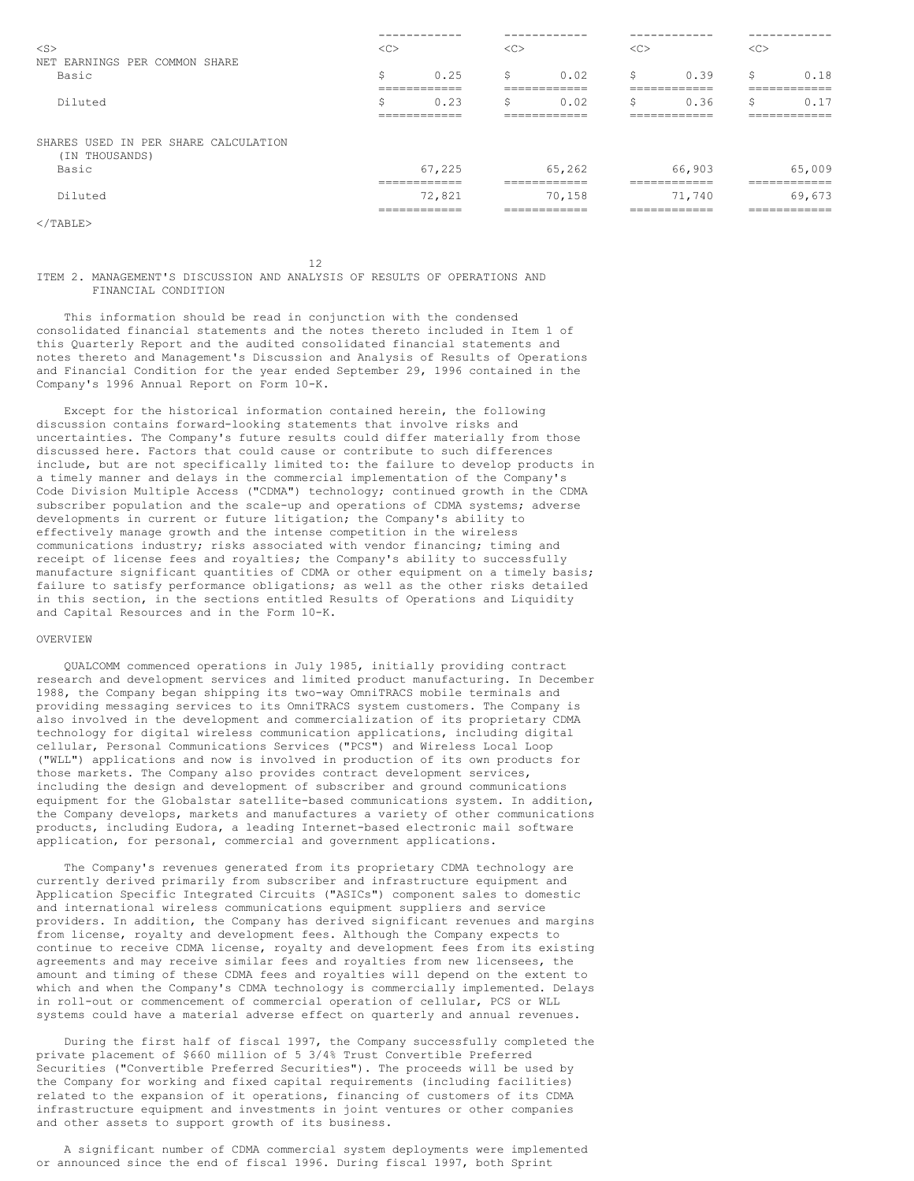|                                      |          | ------------                            |               | ------------                           |        | ------------                           |        | ------------                           |
|--------------------------------------|----------|-----------------------------------------|---------------|----------------------------------------|--------|----------------------------------------|--------|----------------------------------------|
| $<$ S $>$                            | $<\sub>$ |                                         | < <sub></sub> |                                        | $<$ C> |                                        | $<$ C> |                                        |
| NET EARNINGS PER COMMON SHARE        |          |                                         |               |                                        |        |                                        |        |                                        |
| Basic                                | \$       | 0.25<br>-------------                   | \$            | 0.02<br>------------                   | Ŝ      | 0.39<br>------------                   | Ŝ      | 0.18<br>------------                   |
| Diluted                              | ÷<br>১   | ____________<br>0.23                    | ∼<br>5        | ____________<br>0.02                   | Ŝ      | ____________<br>0.36                   | ÷      | ____________<br>0.1                    |
| SHARES USED IN PER SHARE CALCULATION |          | ____________<br>____________            |               | ____________<br>____________           |        | ____________<br>____________           |        | -------------<br>____________          |
| (IN THOUSANDS)<br>Basic              |          | 67,225<br>------------                  |               | 65,262<br>============                 |        | 66,903<br>============                 |        | 65,009<br>____________<br>.            |
| Diluted                              |          | 72,821<br>-------------<br>____________ |               | 70,158<br>------------<br>____________ |        | 71,740<br>------------<br>____________ |        | 69,673<br>------------<br>____________ |
| $\langle$ /TABLE>                    |          |                                         |               |                                        |        |                                        |        |                                        |

12

### ITEM 2. MANAGEMENT'S DISCUSSION AND ANALYSIS OF RESULTS OF OPERATIONS AND FINANCIAL CONDITION

This information should be read in conjunction with the condensed consolidated financial statements and the notes thereto included in Item 1 of this Quarterly Report and the audited consolidated financial statements and notes thereto and Management's Discussion and Analysis of Results of Operations and Financial Condition for the year ended September 29, 1996 contained in the Company's 1996 Annual Report on Form 10-K.

Except for the historical information contained herein, the following discussion contains forward-looking statements that involve risks and uncertainties. The Company's future results could differ materially from those discussed here. Factors that could cause or contribute to such differences include, but are not specifically limited to: the failure to develop products in a timely manner and delays in the commercial implementation of the Company's Code Division Multiple Access ("CDMA") technology; continued growth in the CDMA subscriber population and the scale-up and operations of CDMA systems; adverse developments in current or future litigation; the Company's ability to effectively manage growth and the intense competition in the wireless communications industry; risks associated with vendor financing; timing and receipt of license fees and royalties; the Company's ability to successfully manufacture significant quantities of CDMA or other equipment on a timely basis; failure to satisfy performance obligations; as well as the other risks detailed in this section, in the sections entitled Results of Operations and Liquidity and Capital Resources and in the Form 10-K.

## OVERVIEW

QUALCOMM commenced operations in July 1985, initially providing contract research and development services and limited product manufacturing. In December 1988, the Company began shipping its two-way OmniTRACS mobile terminals and providing messaging services to its OmniTRACS system customers. The Company is also involved in the development and commercialization of its proprietary CDMA technology for digital wireless communication applications, including digital cellular, Personal Communications Services ("PCS") and Wireless Local Loop ("WLL") applications and now is involved in production of its own products for those markets. The Company also provides contract development services, including the design and development of subscriber and ground communications equipment for the Globalstar satellite-based communications system. In addition, the Company develops, markets and manufactures a variety of other communications products, including Eudora, a leading Internet-based electronic mail software application, for personal, commercial and government applications.

The Company's revenues generated from its proprietary CDMA technology are currently derived primarily from subscriber and infrastructure equipment and Application Specific Integrated Circuits ("ASICs") component sales to domestic and international wireless communications equipment suppliers and service providers. In addition, the Company has derived significant revenues and margins from license, royalty and development fees. Although the Company expects to continue to receive CDMA license, royalty and development fees from its existing agreements and may receive similar fees and royalties from new licensees, the amount and timing of these CDMA fees and royalties will depend on the extent to which and when the Company's CDMA technology is commercially implemented. Delays in roll-out or commencement of commercial operation of cellular, PCS or WLL systems could have a material adverse effect on quarterly and annual revenues.

During the first half of fiscal 1997, the Company successfully completed the private placement of \$660 million of 5 3/4% Trust Convertible Preferred Securities ("Convertible Preferred Securities"). The proceeds will be used by the Company for working and fixed capital requirements (including facilities) related to the expansion of it operations, financing of customers of its CDMA infrastructure equipment and investments in joint ventures or other companies and other assets to support growth of its business.

A significant number of CDMA commercial system deployments were implemented or announced since the end of fiscal 1996. During fiscal 1997, both Sprint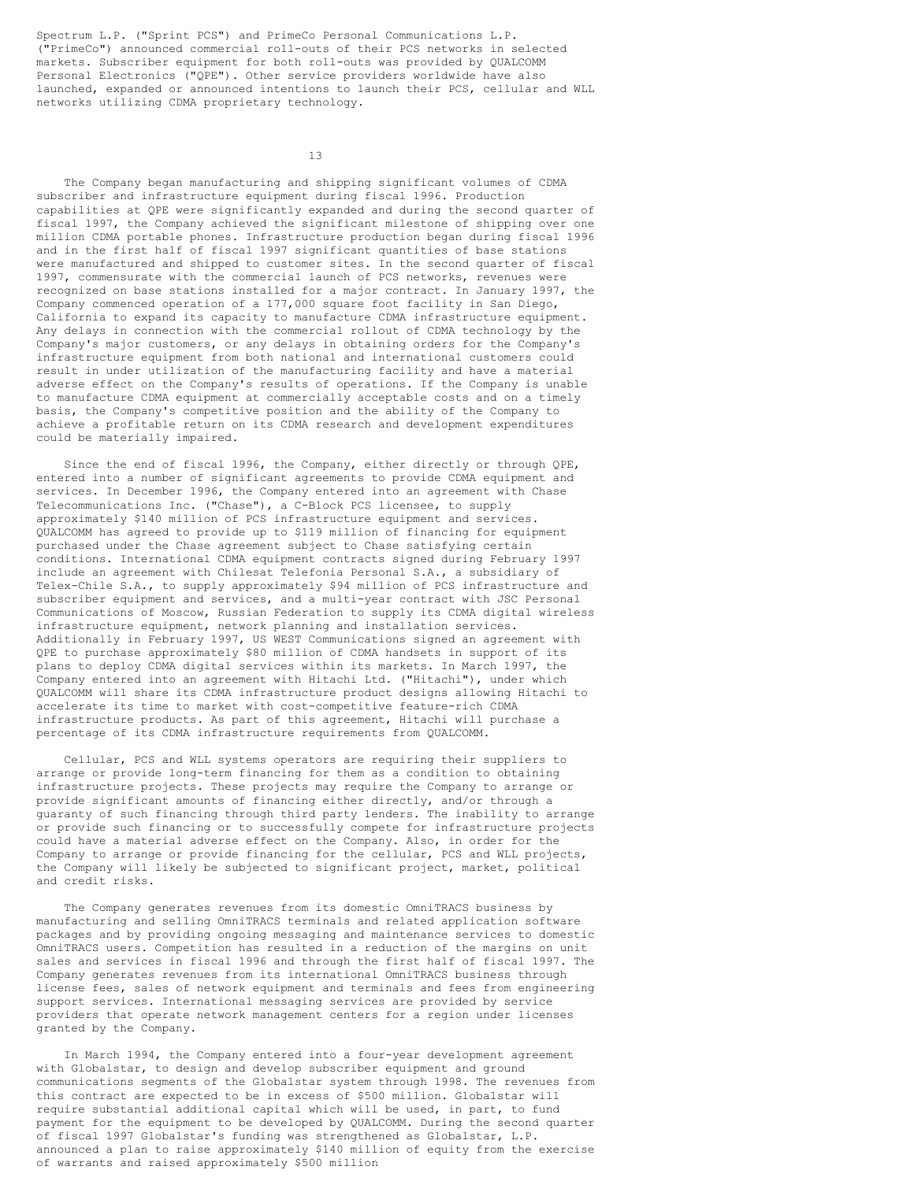Spectrum L.P. ("Sprint PCS") and PrimeCo Personal Communications L.P. ("PrimeCo") announced commercial roll-outs of their PCS networks in selected markets. Subscriber equipment for both roll-outs was provided by QUALCOMM Personal Electronics ("QPE"). Other service providers worldwide have also launched, expanded or announced intentions to launch their PCS, cellular and WLL networks utilizing CDMA proprietary technology.

13

The Company began manufacturing and shipping significant volumes of CDMA subscriber and infrastructure equipment during fiscal 1996. Production capabilities at QPE were significantly expanded and during the second quarter of fiscal 1997, the Company achieved the significant milestone of shipping over one million CDMA portable phones. Infrastructure production began during fiscal 1996 and in the first half of fiscal 1997 significant quantities of base stations were manufactured and shipped to customer sites. In the second quarter of fiscal 1997, commensurate with the commercial launch of PCS networks, revenues were recognized on base stations installed for a major contract. In January 1997, the Company commenced operation of a 177,000 square foot facility in San Diego, California to expand its capacity to manufacture CDMA infrastructure equipment. Any delays in connection with the commercial rollout of CDMA technology by the Company's major customers, or any delays in obtaining orders for the Company's infrastructure equipment from both national and international customers could result in under utilization of the manufacturing facility and have a material adverse effect on the Company's results of operations. If the Company is unable to manufacture CDMA equipment at commercially acceptable costs and on a timely basis, the Company's competitive position and the ability of the Company to achieve a profitable return on its CDMA research and development expenditures could be materially impaired.

Since the end of fiscal 1996, the Company, either directly or through QPE, entered into a number of significant agreements to provide CDMA equipment and services. In December 1996, the Company entered into an agreement with Chase Telecommunications Inc. ("Chase"), a C-Block PCS licensee, to supply approximately \$140 million of PCS infrastructure equipment and services. QUALCOMM has agreed to provide up to \$119 million of financing for equipment purchased under the Chase agreement subject to Chase satisfying certain conditions. International CDMA equipment contracts signed during February 1997 include an agreement with Chilesat Telefonia Personal S.A., a subsidiary of Telex-Chile S.A., to supply approximately \$94 million of PCS infrastructure and subscriber equipment and services, and a multi-year contract with JSC Personal Communications of Moscow, Russian Federation to supply its CDMA digital wireless infrastructure equipment, network planning and installation services. Additionally in February 1997, US WEST Communications signed an agreement with QPE to purchase approximately \$80 million of CDMA handsets in support of its plans to deploy CDMA digital services within its markets. In March 1997, the Company entered into an agreement with Hitachi Ltd. ("Hitachi"), under which QUALCOMM will share its CDMA infrastructure product designs allowing Hitachi to accelerate its time to market with cost-competitive feature-rich CDMA infrastructure products. As part of this agreement, Hitachi will purchase a percentage of its CDMA infrastructure requirements from QUALCOMM.

Cellular, PCS and WLL systems operators are requiring their suppliers to arrange or provide long-term financing for them as a condition to obtaining infrastructure projects. These projects may require the Company to arrange or provide significant amounts of financing either directly, and/or through a guaranty of such financing through third party lenders. The inability to arrange or provide such financing or to successfully compete for infrastructure projects could have a material adverse effect on the Company. Also, in order for the Company to arrange or provide financing for the cellular, PCS and WLL projects, the Company will likely be subjected to significant project, market, political and credit risks.

The Company generates revenues from its domestic OmniTRACS business by manufacturing and selling OmniTRACS terminals and related application software packages and by providing ongoing messaging and maintenance services to domestic OmniTRACS users. Competition has resulted in a reduction of the margins on unit sales and services in fiscal 1996 and through the first half of fiscal 1997. The Company generates revenues from its international OmniTRACS business through license fees, sales of network equipment and terminals and fees from engineering support services. International messaging services are provided by service providers that operate network management centers for a region under licenses granted by the Company.

In March 1994, the Company entered into a four-year development agreement with Globalstar, to design and develop subscriber equipment and ground communications segments of the Globalstar system through 1998. The revenues from this contract are expected to be in excess of \$500 million. Globalstar will require substantial additional capital which will be used, in part, to fund payment for the equipment to be developed by QUALCOMM. During the second quarter of fiscal 1997 Globalstar's funding was strengthened as Globalstar, L.P. announced a plan to raise approximately \$140 million of equity from the exercise of warrants and raised approximately \$500 million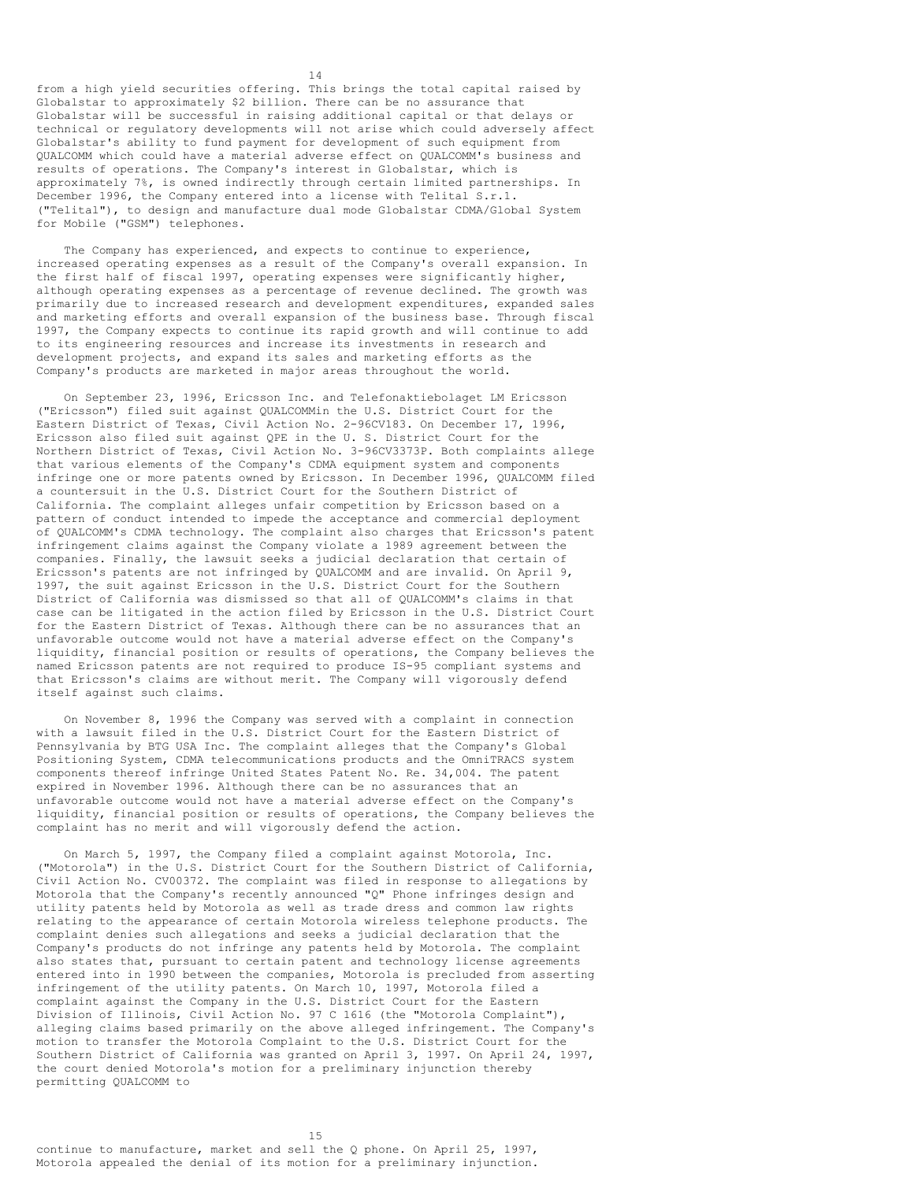from a high yield securities offering. This brings the total capital raised by Globalstar to approximately \$2 billion. There can be no assurance that Globalstar will be successful in raising additional capital or that delays or technical or regulatory developments will not arise which could adversely affect Globalstar's ability to fund payment for development of such equipment from QUALCOMM which could have a material adverse effect on QUALCOMM's business and results of operations. The Company's interest in Globalstar, which is approximately 7%, is owned indirectly through certain limited partnerships. In December 1996, the Company entered into a license with Telital S.r.1. ("Telital"), to design and manufacture dual mode Globalstar CDMA/Global System for Mobile ("GSM") telephones.

14

The Company has experienced, and expects to continue to experience, increased operating expenses as a result of the Company's overall expansion. In the first half of fiscal 1997, operating expenses were significantly higher, although operating expenses as a percentage of revenue declined. The growth was primarily due to increased research and development expenditures, expanded sales and marketing efforts and overall expansion of the business base. Through fiscal 1997, the Company expects to continue its rapid growth and will continue to add to its engineering resources and increase its investments in research and development projects, and expand its sales and marketing efforts as the Company's products are marketed in major areas throughout the world.

On September 23, 1996, Ericsson Inc. and Telefonaktiebolaget LM Ericsson ("Ericsson") filed suit against QUALCOMMin the U.S. District Court for the Eastern District of Texas, Civil Action No. 2-96CV183. On December 17, 1996, Ericsson also filed suit against QPE in the U. S. District Court for the Northern District of Texas, Civil Action No. 3-96CV3373P. Both complaints allege that various elements of the Company's CDMA equipment system and components infringe one or more patents owned by Ericsson. In December 1996, QUALCOMM filed a countersuit in the U.S. District Court for the Southern District of California. The complaint alleges unfair competition by Ericsson based on a pattern of conduct intended to impede the acceptance and commercial deployment of QUALCOMM's CDMA technology. The complaint also charges that Ericsson's patent infringement claims against the Company violate a 1989 agreement between the companies. Finally, the lawsuit seeks a judicial declaration that certain of Ericsson's patents are not infringed by QUALCOMM and are invalid. On April 9, 1997, the suit against Ericsson in the U.S. District Court for the Southern District of California was dismissed so that all of QUALCOMM's claims in that case can be litigated in the action filed by Ericsson in the U.S. District Court for the Eastern District of Texas. Although there can be no assurances that an unfavorable outcome would not have a material adverse effect on the Company's liquidity, financial position or results of operations, the Company believes the named Ericsson patents are not required to produce IS-95 compliant systems and that Ericsson's claims are without merit. The Company will vigorously defend itself against such claims.

On November 8, 1996 the Company was served with a complaint in connection with a lawsuit filed in the U.S. District Court for the Eastern District of Pennsylvania by BTG USA Inc. The complaint alleges that the Company's Global Positioning System, CDMA telecommunications products and the OmniTRACS system components thereof infringe United States Patent No. Re. 34,004. The patent expired in November 1996. Although there can be no assurances that an unfavorable outcome would not have a material adverse effect on the Company's liquidity, financial position or results of operations, the Company believes the complaint has no merit and will vigorously defend the action.

On March 5, 1997, the Company filed a complaint against Motorola, Inc. ("Motorola") in the U.S. District Court for the Southern District of California, Civil Action No. CV00372. The complaint was filed in response to allegations by Motorola that the Company's recently announced "Q" Phone infringes design and utility patents held by Motorola as well as trade dress and common law rights relating to the appearance of certain Motorola wireless telephone products. The complaint denies such allegations and seeks a judicial declaration that the Company's products do not infringe any patents held by Motorola. The complaint also states that, pursuant to certain patent and technology license agreements entered into in 1990 between the companies, Motorola is precluded from asserting infringement of the utility patents. On March 10, 1997, Motorola filed a complaint against the Company in the U.S. District Court for the Eastern Division of Illinois, Civil Action No. 97 C 1616 (the "Motorola Complaint"), alleging claims based primarily on the above alleged infringement. The Company's motion to transfer the Motorola Complaint to the U.S. District Court for the Southern District of California was granted on April 3, 1997. On April 24, 1997, the court denied Motorola's motion for a preliminary injunction thereby permitting QUALCOMM to

15

continue to manufacture, market and sell the Q phone. On April 25, 1997, Motorola appealed the denial of its motion for a preliminary injunction.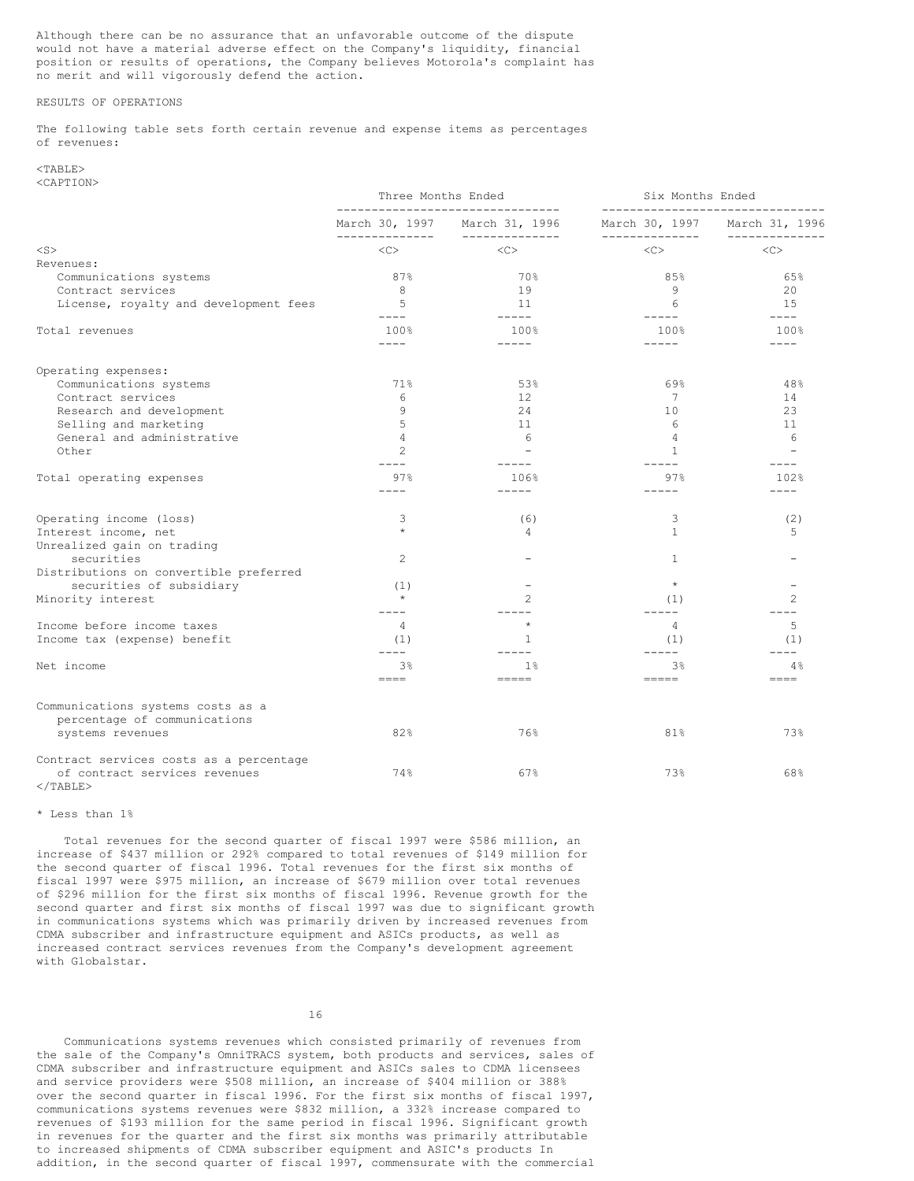Although there can be no assurance that an unfavorable outcome of the dispute would not have a material adverse effect on the Company's liquidity, financial position or results of operations, the Company believes Motorola's complaint has no merit and will vigorously defend the action.

## RESULTS OF OPERATIONS

The following table sets forth certain revenue and expense items as percentages of revenues:

#### $<$ TABLE> <CAPTION>

|                                                                   | Three Months Ended                    |                                                  | Six Months Ended<br>------------------------------- |                               |  |  |  |
|-------------------------------------------------------------------|---------------------------------------|--------------------------------------------------|-----------------------------------------------------|-------------------------------|--|--|--|
|                                                                   | March 30, 1997                        | ------------------------------<br>March 31, 1996 |                                                     | March 30, 1997 March 31, 1996 |  |  |  |
| $<$ S $>$                                                         | --------------<br>$\langle C \rangle$ | --------------<br>$<\infty$                      | --------------<br>$<\infty$                         | ---------<br>$<\infty$        |  |  |  |
| Revenues:                                                         |                                       |                                                  |                                                     |                               |  |  |  |
| Communications systems                                            | 87%                                   | 70%                                              | 85%                                                 | 65%                           |  |  |  |
| Contract services                                                 | 8                                     | 19                                               | 9                                                   | 20                            |  |  |  |
| License, royalty and development fees                             | .5<br>$- - - -$                       | 11<br>$- - - - -$                                | 6                                                   | 1.5<br>$- - - - -$            |  |  |  |
| Total revenues                                                    | 100%                                  | 100%                                             | $- - - - -$<br>100%                                 | 100%                          |  |  |  |
|                                                                   | $- - - -$                             | $- - - - -$                                      | $- - - - -$                                         | $---$                         |  |  |  |
| Operating expenses:                                               |                                       |                                                  |                                                     |                               |  |  |  |
| Communications systems                                            | 71%                                   | 53%                                              | 69%                                                 | 48%                           |  |  |  |
| Contract services                                                 | 6                                     | 12                                               | 7                                                   | 14                            |  |  |  |
| Research and development                                          | 9                                     | 24                                               | 10                                                  | 23                            |  |  |  |
| Selling and marketing                                             | 5                                     | 11                                               | 6                                                   | 11                            |  |  |  |
| General and administrative                                        | $\overline{4}$                        | 6                                                | $\overline{4}$                                      | 6                             |  |  |  |
| Other                                                             | $\overline{c}$<br>$- - - -$           |                                                  | $\mathbf{1}$<br>$---$                               |                               |  |  |  |
| Total operating expenses                                          | 97%                                   | 106%                                             | 97%                                                 | 102%                          |  |  |  |
|                                                                   | ----                                  | $- - - - -$                                      | $- - - -$                                           | $- - - -$                     |  |  |  |
| Operating income (loss)                                           | 3                                     | (6)                                              | 3                                                   | (2)                           |  |  |  |
| Interest income, net                                              | $\star$                               | 4                                                | $\mathbf{1}$                                        | 5                             |  |  |  |
| Unrealized gain on trading                                        |                                       |                                                  |                                                     |                               |  |  |  |
| securities                                                        | $\mathbf{2}$                          |                                                  | $\mathbf{1}$                                        |                               |  |  |  |
| Distributions on convertible preferred                            |                                       |                                                  |                                                     |                               |  |  |  |
| securities of subsidiary                                          | (1)                                   |                                                  | $\star$                                             |                               |  |  |  |
| Minority interest                                                 | $\star$<br>$---$                      | $\overline{2}$<br>$- - - -$                      | (1)<br>$- - - - -$                                  | $\overline{c}$                |  |  |  |
| Income before income taxes                                        | 4                                     | $\star$                                          | 4                                                   | 5                             |  |  |  |
| Income tax (expense) benefit                                      | (1)<br>$- - - -$                      | -1.<br>$- - - -$                                 | (1)<br>$---$                                        | (1)<br>----                   |  |  |  |
| Net income                                                        | 3 <sup>°</sup>                        | 1%                                               | 3%                                                  | 4%                            |  |  |  |
|                                                                   | $=$ $=$ $=$                           | $=$ $=$ $=$ $=$                                  | $=$ $=$ $=$ $=$                                     | $=$ $=$ $=$                   |  |  |  |
| Communications systems costs as a<br>percentage of communications |                                       |                                                  |                                                     |                               |  |  |  |
| systems revenues                                                  | 82%                                   | 76%                                              | 81%                                                 | 73%                           |  |  |  |
| Contract services costs as a percentage                           |                                       |                                                  |                                                     |                               |  |  |  |
| of contract services revenues<br>$<$ /TABLE>                      | 74%                                   | 67%                                              | 73%                                                 | 68%                           |  |  |  |

### \* Less than 1%

Total revenues for the second quarter of fiscal 1997 were \$586 million, an increase of \$437 million or 292% compared to total revenues of \$149 million for the second quarter of fiscal 1996. Total revenues for the first six months of fiscal 1997 were \$975 million, an increase of \$679 million over total revenues of \$296 million for the first six months of fiscal 1996. Revenue growth for the second quarter and first six months of fiscal 1997 was due to significant growth in communications systems which was primarily driven by increased revenues from CDMA subscriber and infrastructure equipment and ASICs products, as well as increased contract services revenues from the Company's development agreement with Globalstar.

16

Communications systems revenues which consisted primarily of revenues from the sale of the Company's OmniTRACS system, both products and services, sales of CDMA subscriber and infrastructure equipment and ASICs sales to CDMA licensees and service providers were \$508 million, an increase of \$404 million or 388% over the second quarter in fiscal 1996. For the first six months of fiscal 1997, communications systems revenues were \$832 million, a 332% increase compared to revenues of \$193 million for the same period in fiscal 1996. Significant growth in revenues for the quarter and the first six months was primarily attributable to increased shipments of CDMA subscriber equipment and ASIC's products In addition, in the second quarter of fiscal 1997, commensurate with the commercial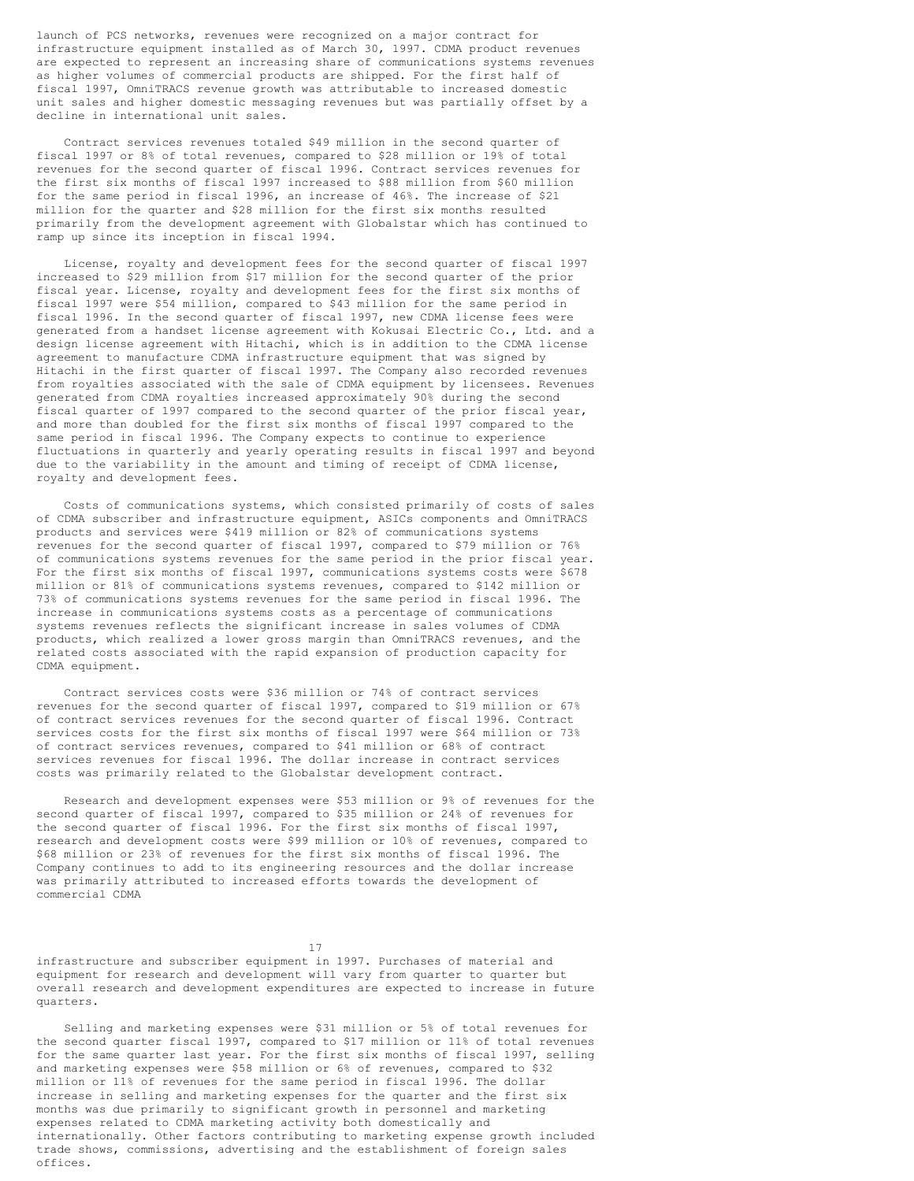launch of PCS networks, revenues were recognized on a major contract for infrastructure equipment installed as of March 30, 1997. CDMA product revenues are expected to represent an increasing share of communications systems revenues as higher volumes of commercial products are shipped. For the first half of fiscal 1997, OmniTRACS revenue growth was attributable to increased domestic unit sales and higher domestic messaging revenues but was partially offset by a decline in international unit sales.

Contract services revenues totaled \$49 million in the second quarter of fiscal 1997 or 8% of total revenues, compared to \$28 million or 19% of total revenues for the second quarter of fiscal 1996. Contract services revenues for the first six months of fiscal 1997 increased to \$88 million from \$60 million for the same period in fiscal 1996, an increase of 46%. The increase of \$21 million for the quarter and \$28 million for the first six months resulted primarily from the development agreement with Globalstar which has continued to ramp up since its inception in fiscal 1994.

License, royalty and development fees for the second quarter of fiscal 1997 increased to \$29 million from \$17 million for the second quarter of the prior fiscal year. License, royalty and development fees for the first six months of fiscal 1997 were \$54 million, compared to \$43 million for the same period in fiscal 1996. In the second quarter of fiscal 1997, new CDMA license fees were generated from a handset license agreement with Kokusai Electric Co., Ltd. and a design license agreement with Hitachi, which is in addition to the CDMA license agreement to manufacture CDMA infrastructure equipment that was signed by Hitachi in the first quarter of fiscal 1997. The Company also recorded revenues from royalties associated with the sale of CDMA equipment by licensees. Revenues generated from CDMA royalties increased approximately 90% during the second fiscal quarter of 1997 compared to the second quarter of the prior fiscal year, and more than doubled for the first six months of fiscal 1997 compared to the same period in fiscal 1996. The Company expects to continue to experience fluctuations in quarterly and yearly operating results in fiscal 1997 and beyond due to the variability in the amount and timing of receipt of CDMA license, royalty and development fees.

Costs of communications systems, which consisted primarily of costs of sales of CDMA subscriber and infrastructure equipment, ASICs components and OmniTRACS products and services were \$419 million or 82% of communications systems revenues for the second quarter of fiscal 1997, compared to \$79 million or 76% of communications systems revenues for the same period in the prior fiscal year. For the first six months of fiscal 1997, communications systems costs were \$678 million or 81% of communications systems revenues, compared to \$142 million or 73% of communications systems revenues for the same period in fiscal 1996. The increase in communications systems costs as a percentage of communications systems revenues reflects the significant increase in sales volumes of CDMA products, which realized a lower gross margin than OmniTRACS revenues, and the related costs associated with the rapid expansion of production capacity for CDMA equipment.

Contract services costs were \$36 million or 74% of contract services revenues for the second quarter of fiscal 1997, compared to \$19 million or 67% of contract services revenues for the second quarter of fiscal 1996. Contract services costs for the first six months of fiscal 1997 were \$64 million or 73% of contract services revenues, compared to \$41 million or 68% of contract services revenues for fiscal 1996. The dollar increase in contract services costs was primarily related to the Globalstar development contract.

Research and development expenses were \$53 million or 9% of revenues for the second quarter of fiscal 1997, compared to \$35 million or 24% of revenues for the second quarter of fiscal 1996. For the first six months of fiscal 1997, research and development costs were \$99 million or 10% of revenues, compared to \$68 million or 23% of revenues for the first six months of fiscal 1996. The Company continues to add to its engineering resources and the dollar increase was primarily attributed to increased efforts towards the development of commercial CDMA

17

infrastructure and subscriber equipment in 1997. Purchases of material and equipment for research and development will vary from quarter to quarter but overall research and development expenditures are expected to increase in future quarters.

Selling and marketing expenses were \$31 million or 5% of total revenues for the second quarter fiscal 1997, compared to \$17 million or 11% of total revenues for the same quarter last year. For the first six months of fiscal 1997, selling and marketing expenses were \$58 million or 6% of revenues, compared to \$32 million or 11% of revenues for the same period in fiscal 1996. The dollar increase in selling and marketing expenses for the quarter and the first six months was due primarily to significant growth in personnel and marketing expenses related to CDMA marketing activity both domestically and internationally. Other factors contributing to marketing expense growth included trade shows, commissions, advertising and the establishment of foreign sales offices.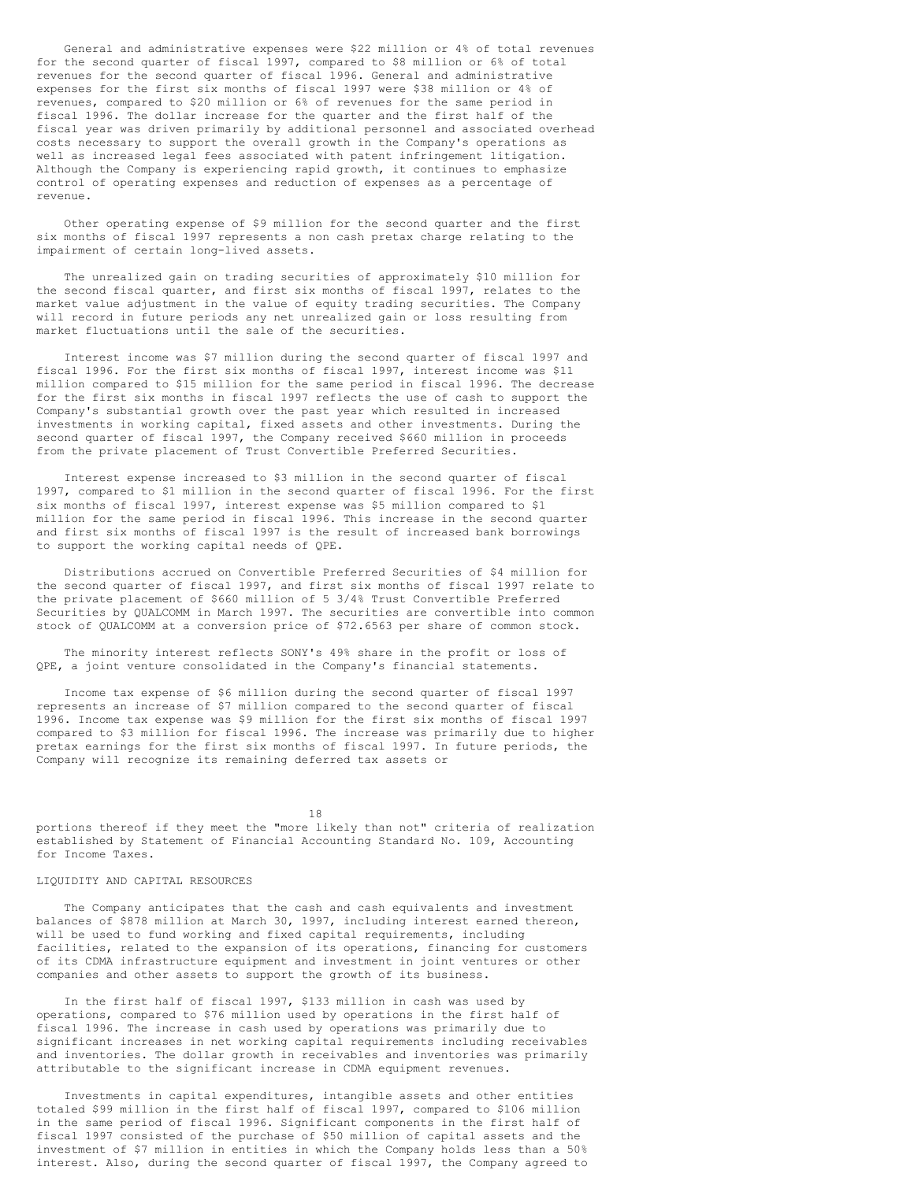General and administrative expenses were \$22 million or 4% of total revenues for the second quarter of fiscal 1997, compared to \$8 million or 6% of total revenues for the second quarter of fiscal 1996. General and administrative expenses for the first six months of fiscal 1997 were \$38 million or 4% of revenues, compared to \$20 million or 6% of revenues for the same period in fiscal 1996. The dollar increase for the quarter and the first half of the fiscal year was driven primarily by additional personnel and associated overhead costs necessary to support the overall growth in the Company's operations as well as increased legal fees associated with patent infringement litigation. Although the Company is experiencing rapid growth, it continues to emphasize control of operating expenses and reduction of expenses as a percentage of revenue.

Other operating expense of \$9 million for the second quarter and the first six months of fiscal 1997 represents a non cash pretax charge relating to the impairment of certain long-lived assets.

The unrealized gain on trading securities of approximately \$10 million for the second fiscal quarter, and first six months of fiscal 1997, relates to the market value adjustment in the value of equity trading securities. The Company will record in future periods any net unrealized gain or loss resulting from market fluctuations until the sale of the securities.

Interest income was \$7 million during the second quarter of fiscal 1997 and fiscal 1996. For the first six months of fiscal 1997, interest income was \$11 million compared to \$15 million for the same period in fiscal 1996. The decrease for the first six months in fiscal 1997 reflects the use of cash to support the Company's substantial growth over the past year which resulted in increased investments in working capital, fixed assets and other investments. During the second quarter of fiscal 1997, the Company received \$660 million in proceeds from the private placement of Trust Convertible Preferred Securities.

Interest expense increased to \$3 million in the second quarter of fiscal 1997, compared to \$1 million in the second quarter of fiscal 1996. For the first six months of fiscal 1997, interest expense was \$5 million compared to \$1 million for the same period in fiscal 1996. This increase in the second quarter and first six months of fiscal 1997 is the result of increased bank borrowings to support the working capital needs of QPE.

Distributions accrued on Convertible Preferred Securities of \$4 million for the second quarter of fiscal 1997, and first six months of fiscal 1997 relate to the private placement of \$660 million of 5 3/4% Trust Convertible Preferred Securities by QUALCOMM in March 1997. The securities are convertible into common stock of QUALCOMM at a conversion price of \$72.6563 per share of common stock.

The minority interest reflects SONY's 49% share in the profit or loss of QPE, a joint venture consolidated in the Company's financial statements.

Income tax expense of \$6 million during the second quarter of fiscal 1997 represents an increase of \$7 million compared to the second quarter of fiscal 1996. Income tax expense was \$9 million for the first six months of fiscal 1997 compared to \$3 million for fiscal 1996. The increase was primarily due to higher pretax earnings for the first six months of fiscal 1997. In future periods, the Company will recognize its remaining deferred tax assets or

18

portions thereof if they meet the "more likely than not" criteria of realization established by Statement of Financial Accounting Standard No. 109, Accounting for Income Taxes.

### LIQUIDITY AND CAPITAL RESOURCES

The Company anticipates that the cash and cash equivalents and investment balances of \$878 million at March 30, 1997, including interest earned thereon, will be used to fund working and fixed capital requirements, including facilities, related to the expansion of its operations, financing for customers of its CDMA infrastructure equipment and investment in joint ventures or other companies and other assets to support the growth of its business.

In the first half of fiscal 1997, \$133 million in cash was used by operations, compared to \$76 million used by operations in the first half of fiscal 1996. The increase in cash used by operations was primarily due to significant increases in net working capital requirements including receivables and inventories. The dollar growth in receivables and inventories was primarily attributable to the significant increase in CDMA equipment revenues.

Investments in capital expenditures, intangible assets and other entities totaled \$99 million in the first half of fiscal 1997, compared to \$106 million in the same period of fiscal 1996. Significant components in the first half of fiscal 1997 consisted of the purchase of \$50 million of capital assets and the investment of \$7 million in entities in which the Company holds less than a 50% interest. Also, during the second quarter of fiscal 1997, the Company agreed to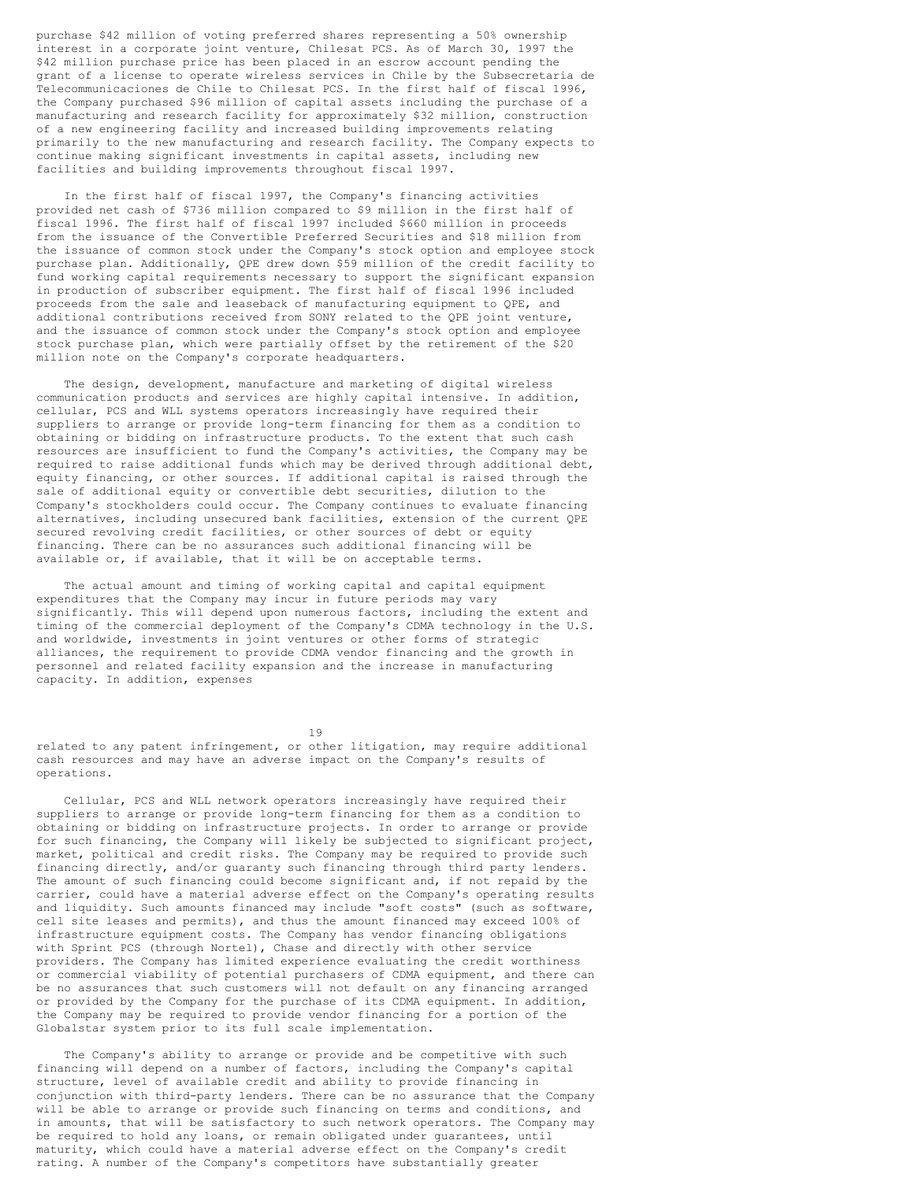purchase \$42 million of voting preferred shares representing a 50% ownership interest in a corporate joint venture, Chilesat PCS. As of March 30, 1997 the \$42 million purchase price has been placed in an escrow account pending the grant of a license to operate wireless services in Chile by the Subsecretaria de Telecommunicaciones de Chile to Chilesat PCS. In the first half of fiscal 1996, the Company purchased \$96 million of capital assets including the purchase of a manufacturing and research facility for approximately \$32 million, construction of a new engineering facility and increased building improvements relating primarily to the new manufacturing and research facility. The Company expects to continue making significant investments in capital assets, including new facilities and building improvements throughout fiscal 1997.

In the first half of fiscal 1997, the Company's financing activities provided net cash of \$736 million compared to \$9 million in the first half of fiscal 1996. The first half of fiscal 1997 included \$660 million in proceeds from the issuance of the Convertible Preferred Securities and \$18 million from the issuance of common stock under the Company's stock option and employee stock purchase plan. Additionally, QPE drew down \$59 million of the credit facility to fund working capital requirements necessary to support the significant expansion in production of subscriber equipment. The first half of fiscal 1996 included proceeds from the sale and leaseback of manufacturing equipment to QPE, and additional contributions received from SONY related to the QPE joint venture, and the issuance of common stock under the Company's stock option and employee stock purchase plan, which were partially offset by the retirement of the \$20 million note on the Company's corporate headquarters.

The design, development, manufacture and marketing of digital wireless communication products and services are highly capital intensive. In addition, cellular, PCS and WLL systems operators increasingly have required their suppliers to arrange or provide long-term financing for them as a condition to obtaining or bidding on infrastructure products. To the extent that such cash resources are insufficient to fund the Company's activities, the Company may be required to raise additional funds which may be derived through additional debt, equity financing, or other sources. If additional capital is raised through the sale of additional equity or convertible debt securities, dilution to the Company's stockholders could occur. The Company continues to evaluate financing alternatives, including unsecured bank facilities, extension of the current QPE secured revolving credit facilities, or other sources of debt or equity financing. There can be no assurances such additional financing will be available or, if available, that it will be on acceptable terms.

The actual amount and timing of working capital and capital equipment expenditures that the Company may incur in future periods may vary significantly. This will depend upon numerous factors, including the extent and timing of the commercial deployment of the Company's CDMA technology in the U.S. and worldwide, investments in joint ventures or other forms of strategic alliances, the requirement to provide CDMA vendor financing and the growth in personnel and related facility expansion and the increase in manufacturing capacity. In addition, expenses

19

related to any patent infringement, or other litigation, may require additional cash resources and may have an adverse impact on the Company's results of operations.

Cellular, PCS and WLL network operators increasingly have required their suppliers to arrange or provide long-term financing for them as a condition to obtaining or bidding on infrastructure projects. In order to arrange or provide for such financing, the Company will likely be subjected to significant project, market, political and credit risks. The Company may be required to provide such financing directly, and/or guaranty such financing through third party lenders. The amount of such financing could become significant and, if not repaid by the carrier, could have a material adverse effect on the Company's operating results and liquidity. Such amounts financed may include "soft costs" (such as software, cell site leases and permits), and thus the amount financed may exceed 100% of infrastructure equipment costs. The Company has vendor financing obligations with Sprint PCS (through Nortel), Chase and directly with other service providers. The Company has limited experience evaluating the credit worthiness or commercial viability of potential purchasers of CDMA equipment, and there can be no assurances that such customers will not default on any financing arranged or provided by the Company for the purchase of its CDMA equipment. In addition, the Company may be required to provide vendor financing for a portion of the Globalstar system prior to its full scale implementation.

The Company's ability to arrange or provide and be competitive with such financing will depend on a number of factors, including the Company's capital structure, level of available credit and ability to provide financing in conjunction with third-party lenders. There can be no assurance that the Company will be able to arrange or provide such financing on terms and conditions, and in amounts, that will be satisfactory to such network operators. The Company may be required to hold any loans, or remain obligated under guarantees, until maturity, which could have a material adverse effect on the Company's credit rating. A number of the Company's competitors have substantially greater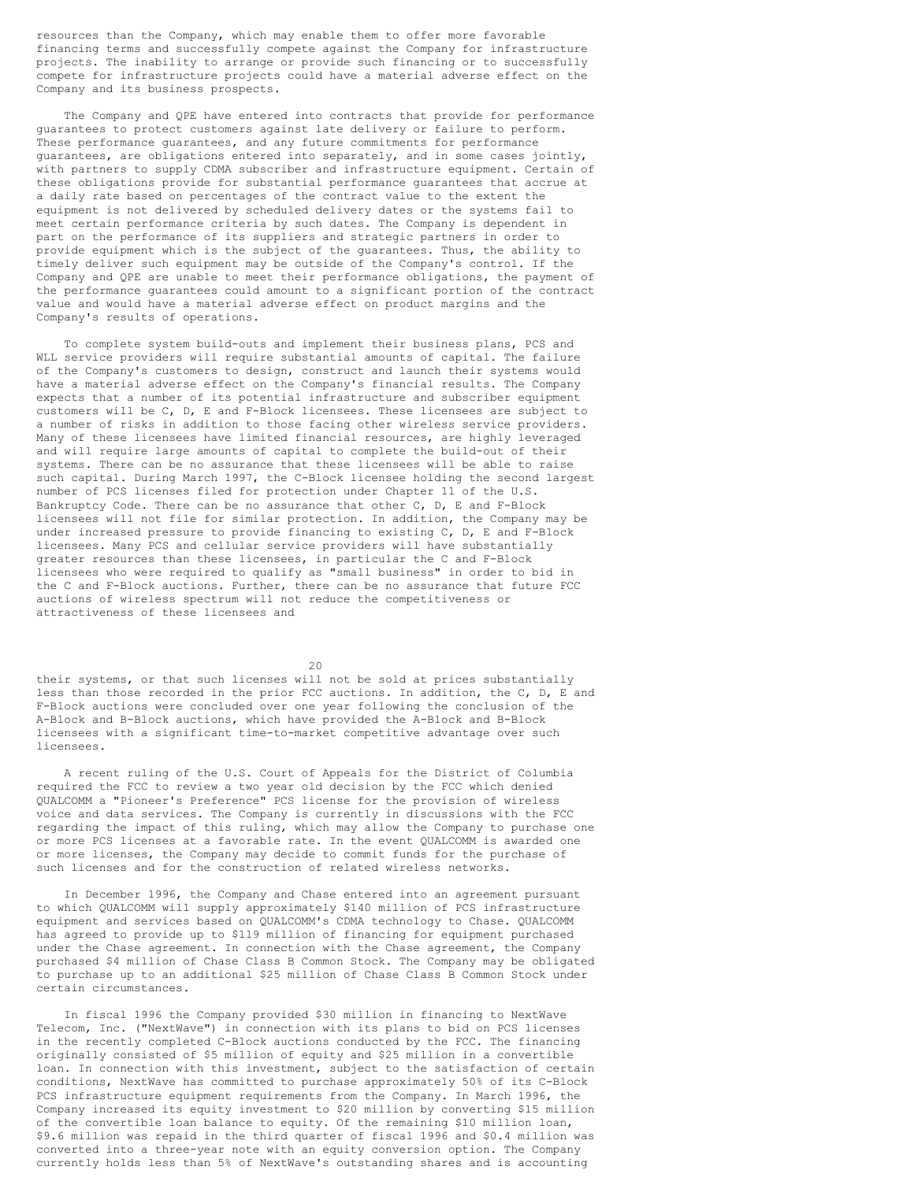resources than the Company, which may enable them to offer more favorable financing terms and successfully compete against the Company for infrastructure projects. The inability to arrange or provide such financing or to successfully compete for infrastructure projects could have a material adverse effect on the Company and its business prospects.

The Company and QPE have entered into contracts that provide for performance guarantees to protect customers against late delivery or failure to perform. These performance guarantees, and any future commitments for performance guarantees, are obligations entered into separately, and in some cases jointly, with partners to supply CDMA subscriber and infrastructure equipment. Certain of these obligations provide for substantial performance guarantees that accrue at a daily rate based on percentages of the contract value to the extent the equipment is not delivered by scheduled delivery dates or the systems fail to meet certain performance criteria by such dates. The Company is dependent in part on the performance of its suppliers and strategic partners in order to provide equipment which is the subject of the guarantees. Thus, the ability to timely deliver such equipment may be outside of the Company's control. If the Company and QPE are unable to meet their performance obligations, the payment of the performance guarantees could amount to a significant portion of the contract value and would have a material adverse effect on product margins and the Company's results of operations.

To complete system build-outs and implement their business plans, PCS and WLL service providers will require substantial amounts of capital. The failure of the Company's customers to design, construct and launch their systems would have a material adverse effect on the Company's financial results. The Company expects that a number of its potential infrastructure and subscriber equipment customers will be C, D, E and F-Block licensees. These licensees are subject to a number of risks in addition to those facing other wireless service providers. Many of these licensees have limited financial resources, are highly leveraged and will require large amounts of capital to complete the build-out of their systems. There can be no assurance that these licensees will be able to raise such capital. During March 1997, the C-Block licensee holding the second largest number of PCS licenses filed for protection under Chapter 11 of the U.S. Bankruptcy Code. There can be no assurance that other C, D, E and F-Block licensees will not file for similar protection. In addition, the Company may be under increased pressure to provide financing to existing C, D, E and F-Block licensees. Many PCS and cellular service providers will have substantially greater resources than these licensees, in particular the C and F-Block licensees who were required to qualify as "small business" in order to bid in the C and F-Block auctions. Further, there can be no assurance that future FCC auctions of wireless spectrum will not reduce the competitiveness or attractiveness of these licensees and

 $20$ 

their systems, or that such licenses will not be sold at prices substantially less than those recorded in the prior FCC auctions. In addition, the C, D, E and F-Block auctions were concluded over one year following the conclusion of the A-Block and B-Block auctions, which have provided the A-Block and B-Block licensees with a significant time-to-market competitive advantage over such licensees.

A recent ruling of the U.S. Court of Appeals for the District of Columbia required the FCC to review a two year old decision by the FCC which denied QUALCOMM a "Pioneer's Preference" PCS license for the provision of wireless voice and data services. The Company is currently in discussions with the FCC regarding the impact of this ruling, which may allow the Company to purchase one or more PCS licenses at a favorable rate. In the event QUALCOMM is awarded one or more licenses, the Company may decide to commit funds for the purchase of such licenses and for the construction of related wireless networks.

In December 1996, the Company and Chase entered into an agreement pursuant to which QUALCOMM will supply approximately \$140 million of PCS infrastructure equipment and services based on QUALCOMM's CDMA technology to Chase. QUALCOMM has agreed to provide up to \$119 million of financing for equipment purchased under the Chase agreement. In connection with the Chase agreement, the Company purchased \$4 million of Chase Class B Common Stock. The Company may be obligated to purchase up to an additional \$25 million of Chase Class B Common Stock under certain circumstances.

In fiscal 1996 the Company provided \$30 million in financing to NextWave Telecom, Inc. ("NextWave") in connection with its plans to bid on PCS licenses in the recently completed C-Block auctions conducted by the FCC. The financing originally consisted of \$5 million of equity and \$25 million in a convertible loan. In connection with this investment, subject to the satisfaction of certain conditions, NextWave has committed to purchase approximately 50% of its C-Block PCS infrastructure equipment requirements from the Company. In March 1996, the Company increased its equity investment to \$20 million by converting \$15 million of the convertible loan balance to equity. Of the remaining \$10 million loan, \$9.6 million was repaid in the third quarter of fiscal 1996 and \$0.4 million was converted into a three-year note with an equity conversion option. The Company currently holds less than 5% of NextWave's outstanding shares and is accounting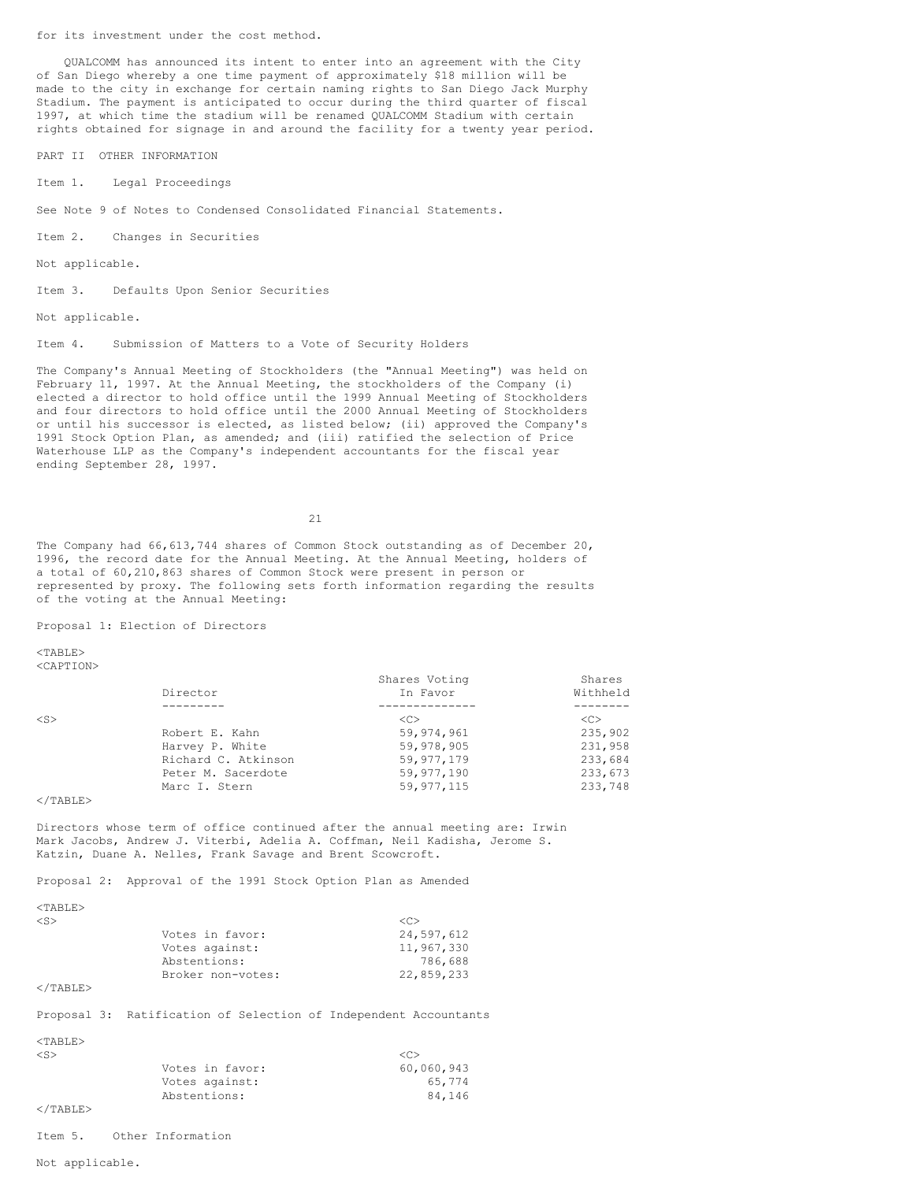for its investment under the cost method.

QUALCOMM has announced its intent to enter into an agreement with the City of San Diego whereby a one time payment of approximately \$18 million will be made to the city in exchange for certain naming rights to San Diego Jack Murphy Stadium. The payment is anticipated to occur during the third quarter of fiscal 1997, at which time the stadium will be renamed QUALCOMM Stadium with certain rights obtained for signage in and around the facility for a twenty year period.

PART II OTHER INFORMATION

Item 1. Legal Proceedings

See Note 9 of Notes to Condensed Consolidated Financial Statements.

Item 2. Changes in Securities

Not applicable.

Item 3. Defaults Upon Senior Securities

Not applicable.

Item 4. Submission of Matters to a Vote of Security Holders

The Company's Annual Meeting of Stockholders (the "Annual Meeting") was held on February 11, 1997. At the Annual Meeting, the stockholders of the Company (i) elected a director to hold office until the 1999 Annual Meeting of Stockholders and four directors to hold office until the 2000 Annual Meeting of Stockholders or until his successor is elected, as listed below; (ii) approved the Company's 1991 Stock Option Plan, as amended; and (iii) ratified the selection of Price Waterhouse LLP as the Company's independent accountants for the fiscal year ending September 28, 1997.

21

The Company had 66,613,744 shares of Common Stock outstanding as of December 20, 1996, the record date for the Annual Meeting. At the Annual Meeting, holders of a total of 60,210,863 shares of Common Stock were present in person or represented by proxy. The following sets forth information regarding the results of the voting at the Annual Meeting:

Proposal 1: Election of Directors

 $<$ TABLE> <CAPTION>

|              |                     | Shares Voting | Shares        |
|--------------|---------------------|---------------|---------------|
|              | Director            | In Favor      | Withheld      |
|              |                     |               |               |
| $\langle$ S> |                     | < <sub></sub> | < <sub></sub> |
|              | Robert E. Kahn      | 59,974,961    | 235,902       |
|              | Harvey P. White     | 59,978,905    | 231,958       |
|              | Richard C. Atkinson | 59,977,179    | 233,684       |
|              | Peter M. Sacerdote  | 59,977,190    | 233,673       |
|              | Marc I. Stern       | 59, 977, 115  | 233,748       |

 $\langle$ /TABLE>

Directors whose term of office continued after the annual meeting are: Irwin Mark Jacobs, Andrew J. Viterbi, Adelia A. Coffman, Neil Kadisha, Jerome S. Katzin, Duane A. Nelles, Frank Savage and Brent Scowcroft.

Proposal 2: Approval of the 1991 Stock Option Plan as Amended

 $<$ TABLE>

| $<$ S> |                   | < <sub></sub> |
|--------|-------------------|---------------|
|        | Votes in favor:   | 24,597,612    |
|        | Votes against:    | 11,967,330    |
|        | Abstentions:      | 786.688       |
|        | Broker non-votes: | 22,859,233    |
|        |                   |               |

</TABLE>

Proposal 3: Ratification of Selection of Independent Accountants

| <table></table> |                 |                     |
|-----------------|-----------------|---------------------|
| $<$ S $>$       |                 | $\langle C \rangle$ |
|                 | Votes in favor: | 60,060,943          |
|                 | Votes against:  | 65.774              |
|                 | Abstentions:    | 84.146              |
| $<$ /TABLE>     |                 |                     |

Item 5. Other Information

Not applicable.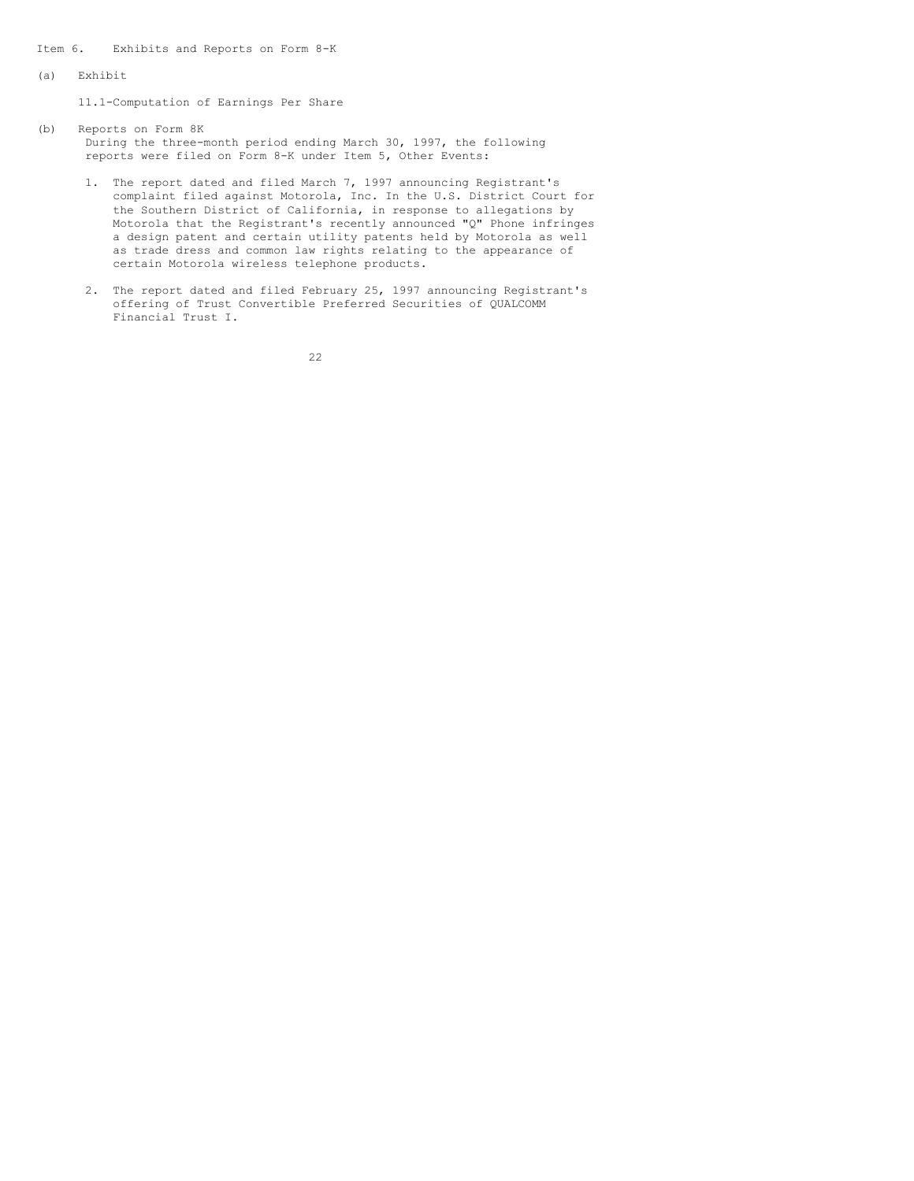Item 6. Exhibits and Reports on Form 8-K

(a) Exhibit

11.1-Computation of Earnings Per Share

- (b) Reports on Form 8K During the three-month period ending March 30, 1997, the following reports were filed on Form 8-K under Item 5, Other Events:
	- 1. The report dated and filed March 7, 1997 announcing Registrant's complaint filed against Motorola, Inc. In the U.S. District Court for the Southern District of California, in response to allegations by Motorola that the Registrant's recently announced "Q" Phone infringes a design patent and certain utility patents held by Motorola as well as trade dress and common law rights relating to the appearance of certain Motorola wireless telephone products.
	- 2. The report dated and filed February 25, 1997 announcing Registrant's offering of Trust Convertible Preferred Securities of QUALCOMM Financial Trust I.

22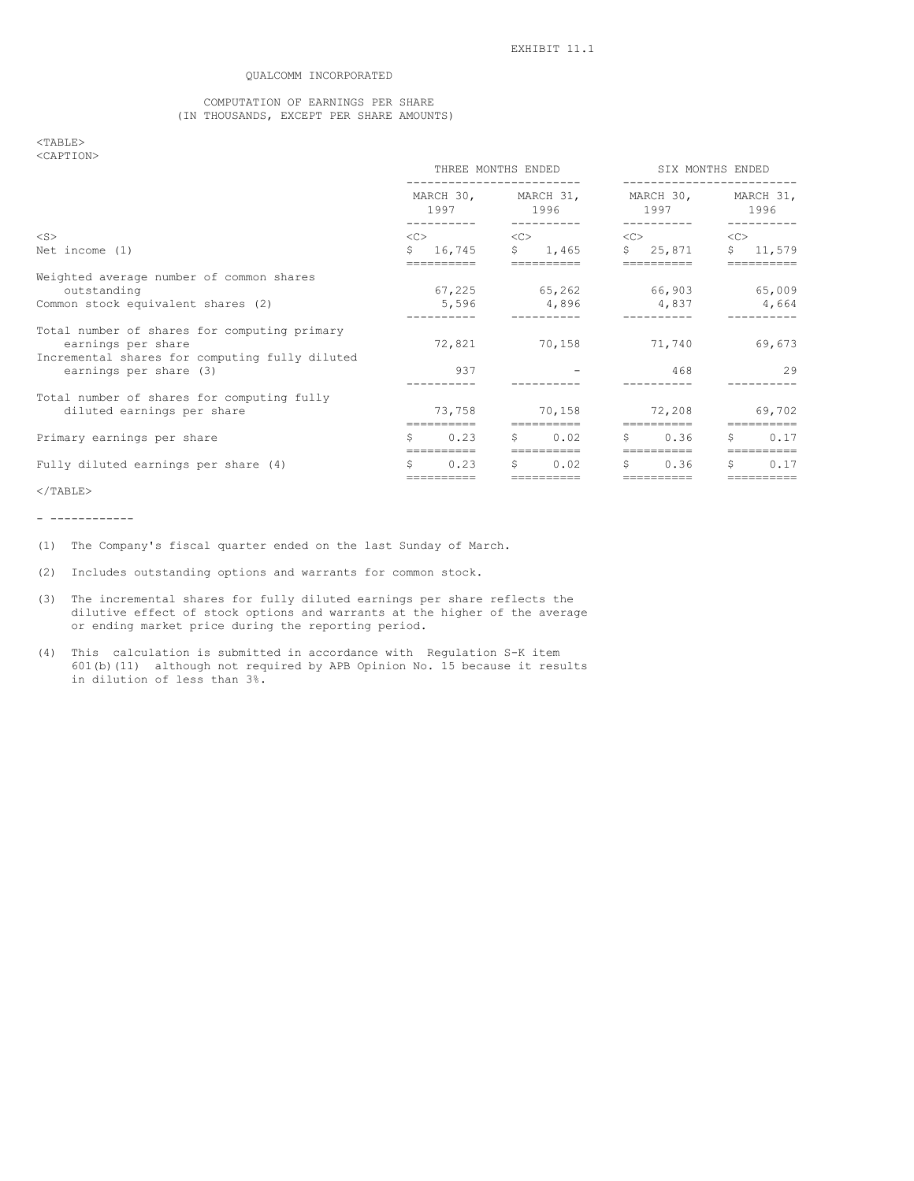## QUALCOMM INCORPORATED

## COMPUTATION OF EARNINGS PER SHARE (IN THOUSANDS, EXCEPT PER SHARE AMOUNTS)

## <TABLE> <CAPTION>

|                                                                          | THREE MONTHS ENDED                            |                         |             | SIX MONTHS ENDED     |           |                                                                                                                                                                                                                                                                                 |                  |                    |
|--------------------------------------------------------------------------|-----------------------------------------------|-------------------------|-------------|----------------------|-----------|---------------------------------------------------------------------------------------------------------------------------------------------------------------------------------------------------------------------------------------------------------------------------------|------------------|--------------------|
|                                                                          |                                               | 1997 1996<br>---------- |             |                      |           | MARCH 30, MARCH 31, MARCH 30,<br>1997 — 1997 — 1997 — 1997 — 1997 — 1997 — 1997 — 1997 — 1997 — 1997 — 1998 — 1998 — 1998 — 1998 — 1998 — 1998 — 1998 — 1998 — 1998 — 1998 — 1998 — 1999 — 1999 — 1999 — 1999 — 1999 — 1999 — 1999 — 1999 — 1999 — 1999 — 1999 —<br>----------- |                  | MARCH 31,<br>1996  |
| $<$ S $>$                                                                | $<\infty$<br>$<<$ $<$ $<$ $<$ $<$ $<$ $<$ $>$ |                         | ----------- |                      | < <c></c> |                                                                                                                                                                                                                                                                                 | $<<$ $<$ $<$ $>$ |                    |
| Net income $(1)$                                                         |                                               | \$16,745                |             | \$1,465              |           | \$25,871                                                                                                                                                                                                                                                                        |                  | \$11,579           |
| Weighted average number of common shares<br>outstanding                  |                                               |                         |             |                      |           | $67,225$ $65,262$ $66,903$ $65,009$                                                                                                                                                                                                                                             |                  |                    |
| Common stock equivalent shares (2)                                       |                                               |                         |             |                      |           | 5,596 4,896 4,837                                                                                                                                                                                                                                                               |                  | 4,664              |
| Total number of shares for computing primary<br>earnings per share       |                                               |                         |             |                      |           | 72,821 70,158 71,740                                                                                                                                                                                                                                                            |                  | 69,673             |
| Incremental shares for computing fully diluted<br>earnings per share (3) |                                               | 937                     |             |                      |           | 468                                                                                                                                                                                                                                                                             |                  | 29                 |
| Total number of shares for computing fully<br>diluted earnings per share |                                               | 73,758                  |             | 70,158               |           | 72,208                                                                                                                                                                                                                                                                          |                  | 69,702             |
| Primary earnings per share                                               | S                                             | 0.23                    |             | ==========<br>\$0.02 | S.        | ==========<br>0.36                                                                                                                                                                                                                                                              | S                | 0.17               |
| Fully diluted earnings per share (4)                                     | Ŝ                                             | ==========<br>0.23      | S.          | ===========<br>0.02  | S.        | ==========<br>0.36                                                                                                                                                                                                                                                              | Ŝ.               | ==========<br>0.17 |
|                                                                          |                                               | ==========              |             | -----------          |           | ==========                                                                                                                                                                                                                                                                      |                  | ==========         |

 $<$ /TABLE>

- ------------

- (1) The Company's fiscal quarter ended on the last Sunday of March.
- (2) Includes outstanding options and warrants for common stock.
- (3) The incremental shares for fully diluted earnings per share reflects the dilutive effect of stock options and warrants at the higher of the average or ending market price during the reporting period.
- (4) This calculation is submitted in accordance with Regulation S-K item 601(b)(11) although not required by APB Opinion No. 15 because it results in dilution of less than 3%.